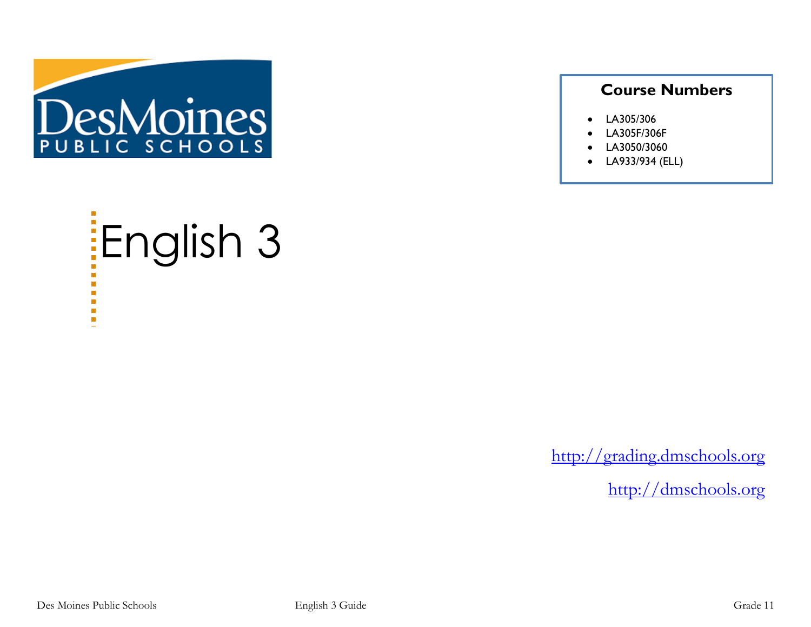

### **Course Numbers**

- LA305/306
- LA305F/306F
- LA3050/3060
- LA933/934 (ELL)

# English 3  $\blacksquare$  $\blacksquare$

[http://grading.dmschools.org](http://grading.dmschools.org/)

[http://dmschools.org](http://dmschools.org/)

×.  $\blacksquare$ a.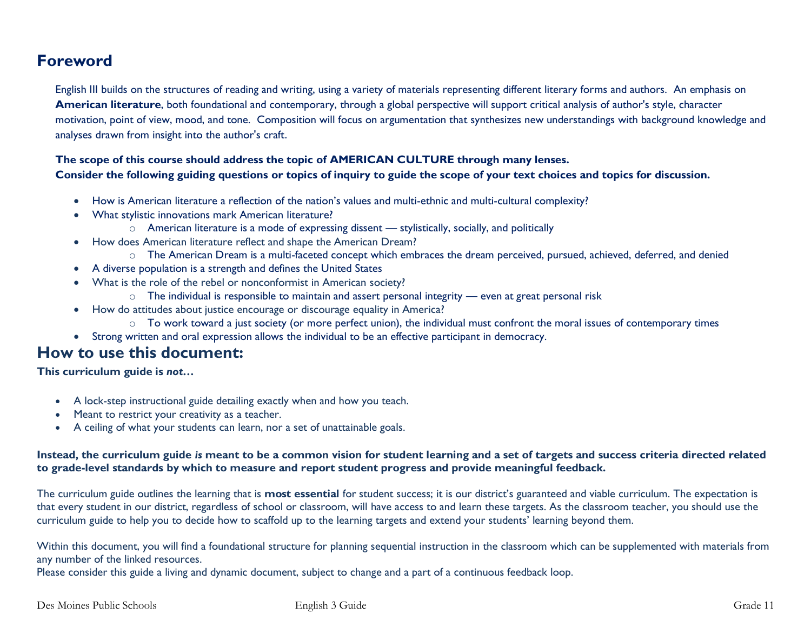### **Foreword**

English III builds on the structures of reading and writing, using a variety of materials representing different literary forms and authors. An emphasis on **American literature**, both foundational and contemporary, through a global perspective will support critical analysis of author's style, character motivation, point of view, mood, and tone. Composition will focus on argumentation that synthesizes new understandings with background knowledge and analyses drawn from insight into the author's craft.

#### **The scope of this course should address the topic of AMERICAN CULTURE through many lenses. Consider the following guiding questions or topics of inquiry to guide the scope of your text choices and topics for discussion.**

- How is American literature a reflection of the nation's values and multi-ethnic and multi-cultural complexity?
- What stylistic innovations mark American literature?
	- $\circ$  American literature is a mode of expressing dissent stylistically, socially, and politically
- How does American literature reflect and shape the American Dream?
	- o The American Dream is a multi-faceted concept which embraces the dream perceived, pursued, achieved, deferred, and denied
- A diverse population is a strength and defines the United States
- What is the role of the rebel or nonconformist in American society?
	- o The individual is responsible to maintain and assert personal integrity even at great personal risk
- How do attitudes about justice encourage or discourage equality in America?
	- o To work toward a just society (or more perfect union), the individual must confront the moral issues of contemporary times
- Strong written and oral expression allows the individual to be an effective participant in democracy.

### **How to use this document:**

**This curriculum guide is** *not…*

- A lock-step instructional guide detailing exactly when and how you teach.
- Meant to restrict your creativity as a teacher.
- A ceiling of what your students can learn, nor a set of unattainable goals.

#### **Instead, the curriculum guide** *is* **meant to be a common vision for student learning and a set of targets and success criteria directed related to grade-level standards by which to measure and report student progress and provide meaningful feedback.**

The curriculum guide outlines the learning that is **most essential** for student success; it is our district's guaranteed and viable curriculum. The expectation is that every student in our district, regardless of school or classroom, will have access to and learn these targets. As the classroom teacher, you should use the curriculum guide to help you to decide how to scaffold up to the learning targets and extend your students' learning beyond them.

Within this document, you will find a foundational structure for planning sequential instruction in the classroom which can be supplemented with materials from any number of the linked resources.

Please consider this guide a living and dynamic document, subject to change and a part of a continuous feedback loop.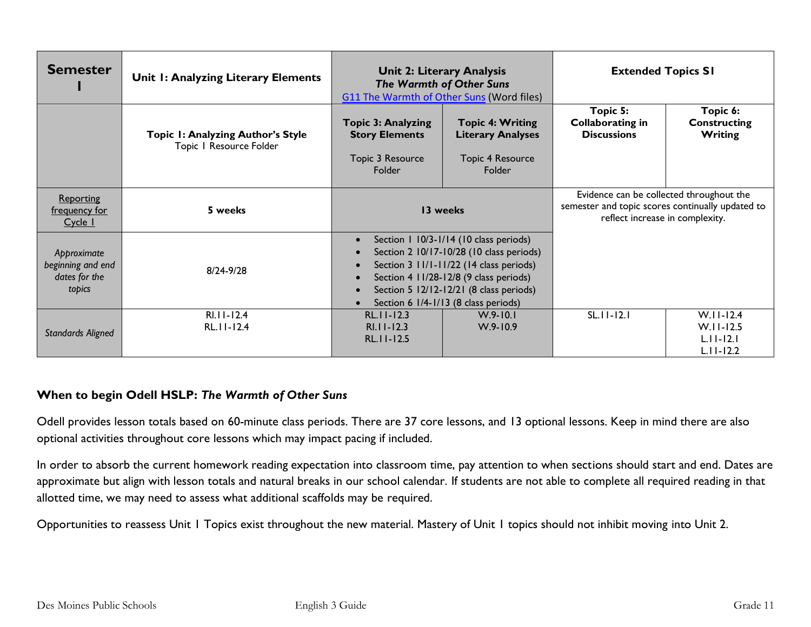| <b>Semester</b>                                             | Unit I: Analyzing Literary Elements                          | <b>Unit 2: Literary Analysis</b><br><b>The Warmth of Other Suns</b><br><b>G11 The Warmth of Other Suns (Word files)</b> |                                                                                                                                                                                                                                                            | <b>Extended Topics SI</b>                                                                                                       |                                                               |
|-------------------------------------------------------------|--------------------------------------------------------------|-------------------------------------------------------------------------------------------------------------------------|------------------------------------------------------------------------------------------------------------------------------------------------------------------------------------------------------------------------------------------------------------|---------------------------------------------------------------------------------------------------------------------------------|---------------------------------------------------------------|
|                                                             | Topic I: Analyzing Author's Style<br>Topic I Resource Folder | <b>Topic 3: Analyzing</b><br><b>Story Elements</b><br>Topic 3 Resource<br>Folder                                        | <b>Topic 4: Writing</b><br><b>Literary Analyses</b><br><b>Topic 4 Resource</b><br>Folder                                                                                                                                                                   | Topic 5:<br><b>Collaborating in</b><br><b>Discussions</b>                                                                       | Topic 6:<br><b>Constructing</b><br>Writing                    |
| Reporting<br>frequency for<br>Cycle 1                       | 5 weeks                                                      | 13 weeks                                                                                                                |                                                                                                                                                                                                                                                            | Evidence can be collected throughout the<br>semester and topic scores continually updated to<br>reflect increase in complexity. |                                                               |
| Approximate<br>beginning and end<br>dates for the<br>topics | 8/24-9/28                                                    | $\bullet$<br>$\bullet$<br>$\bullet$<br>$\bullet$                                                                        | Section 1 10/3-1/14 (10 class periods)<br>Section 2 10/17-10/28 (10 class periods)<br>Section 3 11/1-11/22 (14 class periods)<br>Section 4 11/28-12/8 (9 class periods)<br>Section 5 12/12-12/21 (8 class periods)<br>Section 6 1/4-1/13 (8 class periods) |                                                                                                                                 |                                                               |
| <b>Standards Aligned</b>                                    | $RI.I.I-I2.4$<br>$RL.11 - 12.4$                              | $RL$ . $11 - 12.3$<br>$RI.I-I2.3$<br>RL.11-12.5                                                                         | $W.9 - 10.1$<br>$W.9 - 10.9$                                                                                                                                                                                                                               | $SL.11 - 12.1$                                                                                                                  | $W.II-I2.4$<br>$W.I.I-I2.5$<br>$L.11 - 12.1$<br>$L.11 - 12.2$ |

#### **When to begin Odell HSLP:** *The Warmth of Other Suns*

Odell provides lesson totals based on 60-minute class periods. There are 37 core lessons, and 13 optional lessons. Keep in mind there are also optional activities throughout core lessons which may impact pacing if included.

In order to absorb the current homework reading expectation into classroom time, pay attention to when sections should start and end. Dates are approximate but align with lesson totals and natural breaks in our school calendar. If students are not able to complete all required reading in that allotted time, we may need to assess what additional scaffolds may be required.

Opportunities to reassess Unit 1 Topics exist throughout the new material. Mastery of Unit 1 topics should not inhibit moving into Unit 2.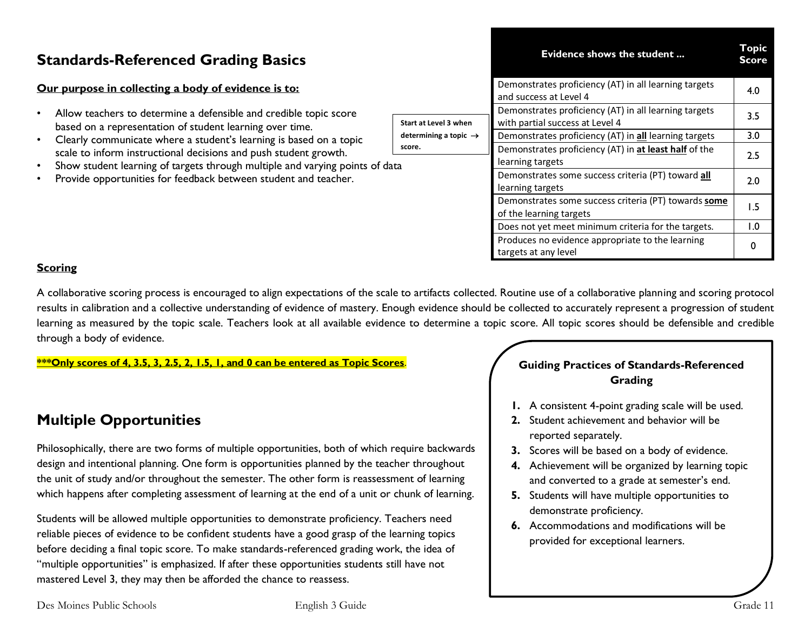| <b>Standards-Referenced Grading Basics</b>                                                                                                                                                                                                                                                                                               |                       | Topic<br>Evidence shows the student<br><b>Score</b>                                                                                |            |
|------------------------------------------------------------------------------------------------------------------------------------------------------------------------------------------------------------------------------------------------------------------------------------------------------------------------------------------|-----------------------|------------------------------------------------------------------------------------------------------------------------------------|------------|
| Our purpose in collecting a body of evidence is to:                                                                                                                                                                                                                                                                                      |                       | Demonstrates proficiency (AT) in all learning targets<br>and success at Level 4                                                    | 4.0        |
| Allow teachers to determine a defensible and credible topic score<br>based on a representation of student learning over time.                                                                                                                                                                                                            | Start at Level 3 when | Demonstrates proficiency (AT) in all learning targets<br>with partial success at Level 4                                           | 3.5        |
| determining a topic $\rightarrow$<br>Clearly communicate where a student's learning is based on a topic<br>score.<br>scale to inform instructional decisions and push student growth.<br>Show student learning of targets through multiple and varying points of data<br>Provide opportunities for feedback between student and teacher. |                       | Demonstrates proficiency (AT) in all learning targets<br>Demonstrates proficiency (AT) in at least half of the<br>learning targets | 3.0<br>2.5 |
|                                                                                                                                                                                                                                                                                                                                          |                       | Demonstrates some success criteria (PT) toward all<br>learning targets                                                             | 2.0        |
|                                                                                                                                                                                                                                                                                                                                          |                       | Demonstrates some success criteria (PT) towards some<br>of the learning targets                                                    | . .5       |
|                                                                                                                                                                                                                                                                                                                                          |                       | Does not yet meet minimum criteria for the targets.                                                                                | 0. ا       |
|                                                                                                                                                                                                                                                                                                                                          |                       | Produces no evidence appropriate to the learning                                                                                   |            |

#### **Scoring**

A collaborative scoring process is encouraged to align expectations of the scale to artifacts collected. Routine use of a collaborative planning and scoring protocol results in calibration and a collective understanding of evidence of mastery. Enough evidence should be collected to accurately represent a progression of student learning as measured by the topic scale. Teachers look at all available evidence to determine a topic score. All topic scores should be defensible and credible through a body of evidence.

**\*\*\*Only scores of 4, 3.5, 3, 2.5, 2, 1.5, 1, and 0 can be entered as Topic Scores**.

### **Multiple Opportunities**

Philosophically, there are two forms of multiple opportunities, both of which require backwards design and intentional planning. One form is opportunities planned by the teacher throughout the unit of study and/or throughout the semester. The other form is reassessment of learning which happens after completing assessment of learning at the end of a unit or chunk of learning.

Students will be allowed multiple opportunities to demonstrate proficiency. Teachers need reliable pieces of evidence to be confident students have a good grasp of the learning topics before deciding a final topic score. To make standards-referenced grading work, the idea of "multiple opportunities" is emphasized. If after these opportunities students still have not mastered Level 3, they may then be afforded the chance to reassess.

#### **Guiding Practices of Standards-Referenced Grading**

Produces no evidence appropriate to the learning and  $\begin{bmatrix} 0 \end{bmatrix}$ 

- **1.** A consistent 4-point grading scale will be used.
- **2.** Student achievement and behavior will be reported separately.
- **3.** Scores will be based on a body of evidence.
- **4.** Achievement will be organized by learning topic and converted to a grade at semester's end.
- **5.** Students will have multiple opportunities to demonstrate proficiency.
- **6.** Accommodations and modifications will be provided for exceptional learners.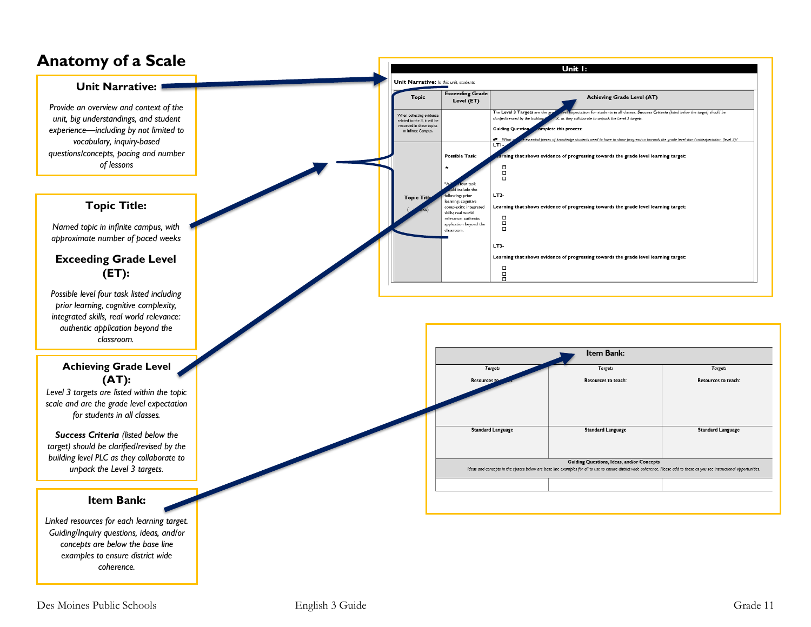### **Anatomy of a Scale**

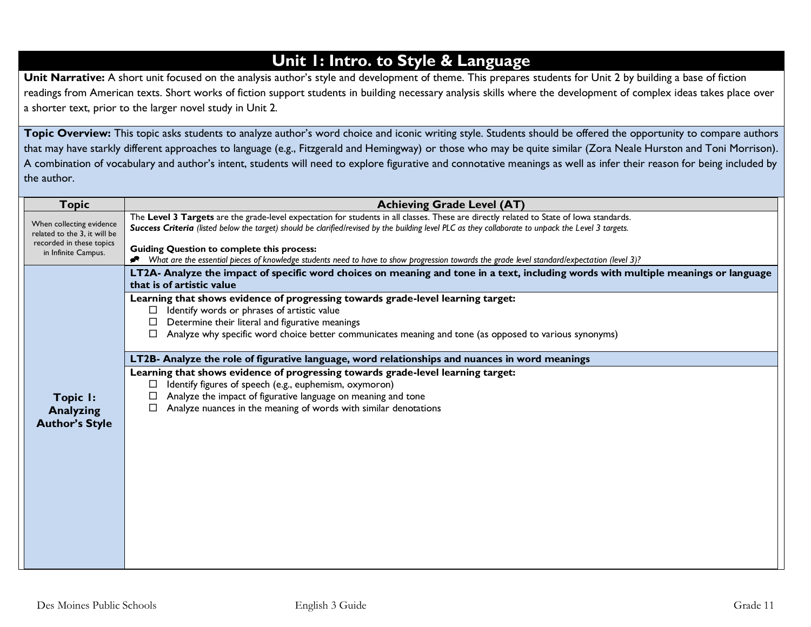### **Unit 1: Intro. to Style & Language**

Unit Narrative: A short unit focused on the analysis author's style and development of theme. This prepares students for Unit 2 by building a base of fiction readings from American texts. Short works of fiction support students in building necessary analysis skills where the development of complex ideas takes place over a shorter text, prior to the larger novel study in Unit 2.

Topic Overview: This topic asks students to analyze author's word choice and iconic writing style. Students should be offered the opportunity to compare authors that may have starkly different approaches to language (e.g., Fitzgerald and Hemingway) or those who may be quite similar (Zora Neale Hurston and Toni Morrison). A combination of vocabulary and author's intent, students will need to explore figurative and connotative meanings as well as infer their reason for being included by the author.

| <b>Topic</b>                                                                                                | <b>Achieving Grade Level (AT)</b>                                                                                                                                                                                                                                                                                                                                                                                                                                                                   |  |  |
|-------------------------------------------------------------------------------------------------------------|-----------------------------------------------------------------------------------------------------------------------------------------------------------------------------------------------------------------------------------------------------------------------------------------------------------------------------------------------------------------------------------------------------------------------------------------------------------------------------------------------------|--|--|
| When collecting evidence<br>related to the 3, it will be<br>recorded in these topics<br>in Infinite Campus. | The Level 3 Targets are the grade-level expectation for students in all classes. These are directly related to State of lowa standards.<br>Success Criteria (listed below the target) should be clarified/revised by the building level PLC as they collaborate to unpack the Level 3 targets.<br><b>Guiding Question to complete this process:</b><br>What are the essential pieces of knowledge students need to have to show progression towards the grade level standard/expectation (level 3)? |  |  |
|                                                                                                             | LT2A- Analyze the impact of specific word choices on meaning and tone in a text, including words with multiple meanings or language<br>that is of artistic value                                                                                                                                                                                                                                                                                                                                    |  |  |
|                                                                                                             | Learning that shows evidence of progressing towards grade-level learning target:<br>Identify words or phrases of artistic value<br>Determine their literal and figurative meanings<br>Analyze why specific word choice better communicates meaning and tone (as opposed to various synonyms)                                                                                                                                                                                                        |  |  |
|                                                                                                             | LT2B- Analyze the role of figurative language, word relationships and nuances in word meanings                                                                                                                                                                                                                                                                                                                                                                                                      |  |  |
| Topic I:<br><b>Analyzing</b><br><b>Author's Style</b>                                                       | Learning that shows evidence of progressing towards grade-level learning target:<br>Identify figures of speech (e.g., euphemism, oxymoron)<br>Analyze the impact of figurative language on meaning and tone<br>Analyze nuances in the meaning of words with similar denotations<br>□                                                                                                                                                                                                                |  |  |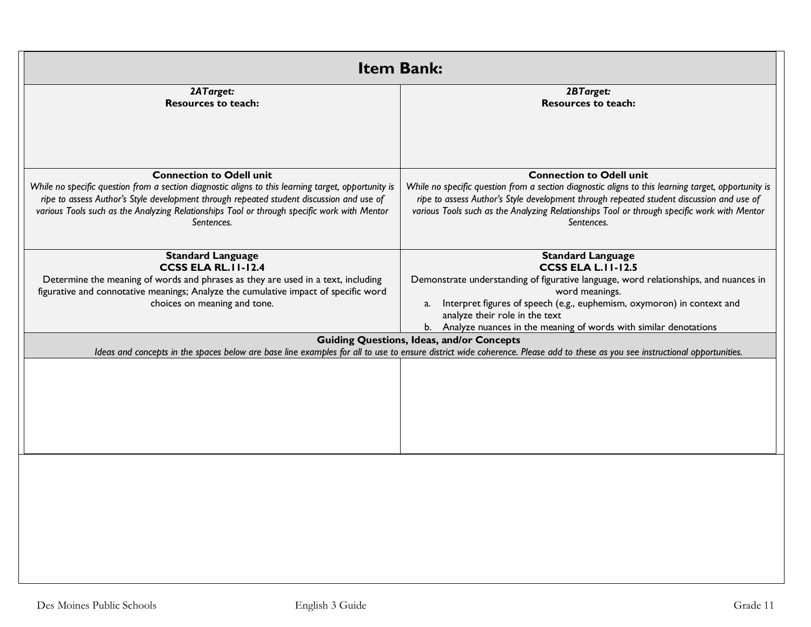| <b>Item Bank:</b>                                                                                                                                                                                                                                                                                                                               |                                                                                                                                                                                                                                                                                                                                                       |  |
|-------------------------------------------------------------------------------------------------------------------------------------------------------------------------------------------------------------------------------------------------------------------------------------------------------------------------------------------------|-------------------------------------------------------------------------------------------------------------------------------------------------------------------------------------------------------------------------------------------------------------------------------------------------------------------------------------------------------|--|
| 2ATarget:<br><b>Resources to teach:</b>                                                                                                                                                                                                                                                                                                         | 2BTarget:<br><b>Resources to teach:</b>                                                                                                                                                                                                                                                                                                               |  |
| <b>Connection to Odell unit</b><br>While no specific question from a section diagnostic aligns to this learning target, opportunity is<br>ripe to assess Author's Style development through repeated student discussion and use of<br>various Tools such as the Analyzing Relationships Tool or through specific work with Mentor<br>Sentences. | <b>Connection to Odell unit</b><br>While no specific question from a section diagnostic aligns to this learning target, opportunity is<br>ripe to assess Author's Style development through repeated student discussion and use of<br>various Tools such as the Analyzing Relationships Tool or through specific work with Mentor<br>Sentences.       |  |
| <b>Standard Language</b><br><b>CCSS ELA RL.II-12.4</b><br>Determine the meaning of words and phrases as they are used in a text, including<br>figurative and connotative meanings; Analyze the cumulative impact of specific word<br>choices on meaning and tone.                                                                               | <b>Standard Language</b><br><b>CCSS ELA L.II-12.5</b><br>Demonstrate understanding of figurative language, word relationships, and nuances in<br>word meanings.<br>a. Interpret figures of speech (e.g., euphemism, oxymoron) in context and<br>analyze their role in the text<br>b. Analyze nuances in the meaning of words with similar denotations |  |
|                                                                                                                                                                                                                                                                                                                                                 | <b>Guiding Questions, Ideas, and/or Concepts</b><br>Ideas and concepts in the spaces below are base line examples for all to use to ensure district wide coherence. Please add to these as you see instructional opportunities.                                                                                                                       |  |
|                                                                                                                                                                                                                                                                                                                                                 |                                                                                                                                                                                                                                                                                                                                                       |  |
|                                                                                                                                                                                                                                                                                                                                                 |                                                                                                                                                                                                                                                                                                                                                       |  |
|                                                                                                                                                                                                                                                                                                                                                 |                                                                                                                                                                                                                                                                                                                                                       |  |
|                                                                                                                                                                                                                                                                                                                                                 |                                                                                                                                                                                                                                                                                                                                                       |  |
|                                                                                                                                                                                                                                                                                                                                                 |                                                                                                                                                                                                                                                                                                                                                       |  |
|                                                                                                                                                                                                                                                                                                                                                 |                                                                                                                                                                                                                                                                                                                                                       |  |
|                                                                                                                                                                                                                                                                                                                                                 |                                                                                                                                                                                                                                                                                                                                                       |  |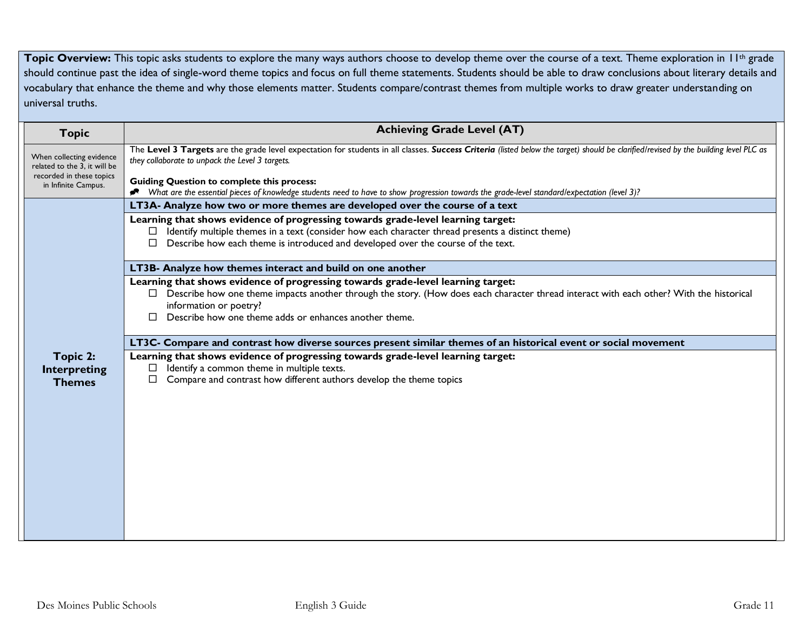**Topic Overview:** This topic asks students to explore the many ways authors choose to develop theme over the course of a text. Theme exploration in 11<sup>th</sup> grade should continue past the idea of single-word theme topics and focus on full theme statements. Students should be able to draw conclusions about literary details and vocabulary that enhance the theme and why those elements matter. Students compare/contrast themes from multiple works to draw greater understanding on universal truths.

| <b>Topic</b>                                                                                                | <b>Achieving Grade Level (AT)</b>                                                                                                                                                                                                                                                                                                                                                                                                            |  |  |
|-------------------------------------------------------------------------------------------------------------|----------------------------------------------------------------------------------------------------------------------------------------------------------------------------------------------------------------------------------------------------------------------------------------------------------------------------------------------------------------------------------------------------------------------------------------------|--|--|
| When collecting evidence<br>related to the 3, it will be<br>recorded in these topics<br>in Infinite Campus. | The Level 3 Targets are the grade level expectation for students in all classes. Success Criteria (listed below the target) should be clarified/revised by the building level PLC as<br>they collaborate to unpack the Level 3 targets.<br><b>Guiding Question to complete this process:</b><br>What are the essential pieces of knowledge students need to have to show progression towards the grade-level standard/expectation (level 3)? |  |  |
|                                                                                                             | LT3A- Analyze how two or more themes are developed over the course of a text                                                                                                                                                                                                                                                                                                                                                                 |  |  |
|                                                                                                             | Learning that shows evidence of progressing towards grade-level learning target:<br>Identify multiple themes in a text (consider how each character thread presents a distinct theme)<br>Describe how each theme is introduced and developed over the course of the text.                                                                                                                                                                    |  |  |
|                                                                                                             | LT3B- Analyze how themes interact and build on one another                                                                                                                                                                                                                                                                                                                                                                                   |  |  |
|                                                                                                             | Learning that shows evidence of progressing towards grade-level learning target:<br>□ Describe how one theme impacts another through the story. (How does each character thread interact with each other? With the historical<br>information or poetry?<br>Describe how one theme adds or enhances another theme.<br>П.                                                                                                                      |  |  |
|                                                                                                             | LT3C- Compare and contrast how diverse sources present similar themes of an historical event or social movement                                                                                                                                                                                                                                                                                                                              |  |  |
| Topic 2:<br><b>Interpreting</b><br><b>Themes</b>                                                            | Learning that shows evidence of progressing towards grade-level learning target:<br>Identify a common theme in multiple texts.<br>Compare and contrast how different authors develop the theme topics<br>$\Box$                                                                                                                                                                                                                              |  |  |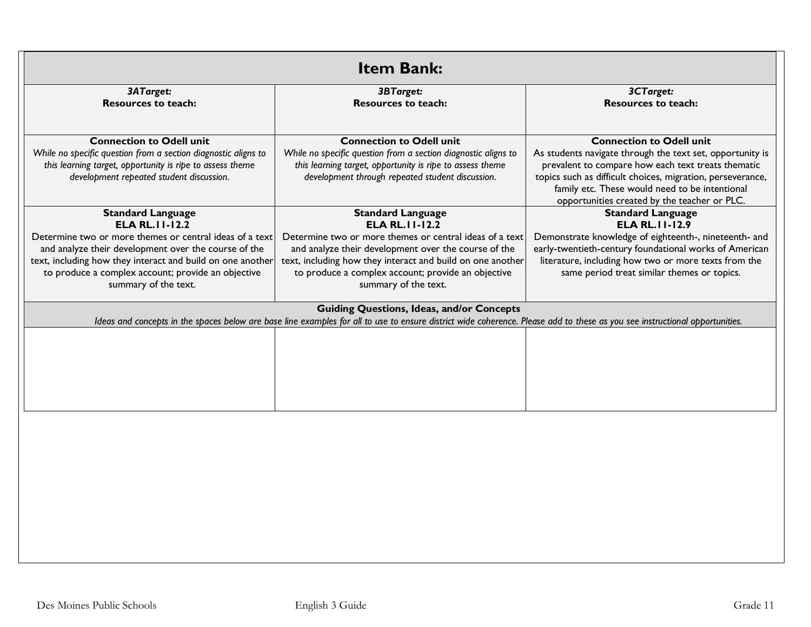| <b>Item Bank:</b>                                                                                                                                                                                                                                                                                                 |                                                                                                                                                                                                                                                                                                                   |                                                                                                                                                                                                                                                                                                                    |  |
|-------------------------------------------------------------------------------------------------------------------------------------------------------------------------------------------------------------------------------------------------------------------------------------------------------------------|-------------------------------------------------------------------------------------------------------------------------------------------------------------------------------------------------------------------------------------------------------------------------------------------------------------------|--------------------------------------------------------------------------------------------------------------------------------------------------------------------------------------------------------------------------------------------------------------------------------------------------------------------|--|
| 3ATarget:<br><b>Resources to teach:</b>                                                                                                                                                                                                                                                                           | 3BTarget:<br><b>Resources to teach:</b>                                                                                                                                                                                                                                                                           | 3CTarget:<br><b>Resources to teach:</b>                                                                                                                                                                                                                                                                            |  |
| <b>Connection to Odell unit</b><br>While no specific question from a section diagnostic aligns to<br>this learning target, opportunity is ripe to assess theme<br>development repeated student discussion.                                                                                                        | <b>Connection to Odell unit</b><br>While no specific question from a section diagnostic aligns to<br>this learning target, opportunity is ripe to assess theme<br>development through repeated student discussion.                                                                                                | <b>Connection to Odell unit</b><br>As students navigate through the text set, opportunity is<br>prevalent to compare how each text treats thematic<br>topics such as difficult choices, migration, perseverance,<br>family etc. These would need to be intentional<br>opportunities created by the teacher or PLC. |  |
| <b>Standard Language</b><br><b>ELA RL. II-12.2</b><br>Determine two or more themes or central ideas of a text<br>and analyze their development over the course of the<br>text, including how they interact and build on one another<br>to produce a complex account; provide an objective<br>summary of the text. | <b>Standard Language</b><br><b>ELA RL. II-12.2</b><br>Determine two or more themes or central ideas of a text<br>and analyze their development over the course of the<br>text, including how they interact and build on one another<br>to produce a complex account; provide an objective<br>summary of the text. | <b>Standard Language</b><br><b>ELA RL. II-12.9</b><br>Demonstrate knowledge of eighteenth-, nineteenth- and<br>early-twentieth-century foundational works of American<br>literature, including how two or more texts from the<br>same period treat similar themes or topics.                                       |  |
|                                                                                                                                                                                                                                                                                                                   | <b>Guiding Questions, Ideas, and/or Concepts</b><br>Ideas and concepts in the spaces below are base line examples for all to use to ensure district wide coherence. Please add to these as you see instructional opportunities.                                                                                   |                                                                                                                                                                                                                                                                                                                    |  |
|                                                                                                                                                                                                                                                                                                                   |                                                                                                                                                                                                                                                                                                                   |                                                                                                                                                                                                                                                                                                                    |  |
|                                                                                                                                                                                                                                                                                                                   |                                                                                                                                                                                                                                                                                                                   |                                                                                                                                                                                                                                                                                                                    |  |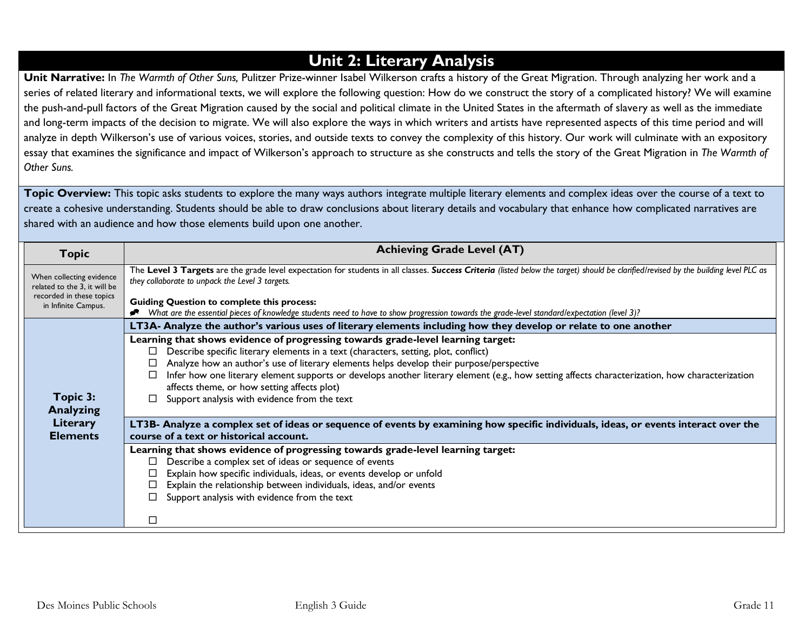### **Unit 2: Literary Analysis**

**Unit Narrative:** In *The Warmth of Other Suns,* Pulitzer Prize-winner Isabel Wilkerson crafts a history of the Great Migration. Through analyzing her work and a series of related literary and informational texts, we will explore the following question: How do we construct the story of a complicated history? We will examine the push-and-pull factors of the Great Migration caused by the social and political climate in the United States in the aftermath of slavery as well as the immediate and long-term impacts of the decision to migrate. We will also explore the ways in which writers and artists have represented aspects of this time period and will analyze in depth Wilkerson's use of various voices, stories, and outside texts to convey the complexity of this history. Our work will culminate with an expository essay that examines the significance and impact of Wilkerson's approach to structure as she constructs and tells the story of the Great Migration in *The Warmth of Other Suns.*

Topic Overview: This topic asks students to explore the many ways authors integrate multiple literary elements and complex ideas over the course of a text to create a cohesive understanding. Students should be able to draw conclusions about literary details and vocabulary that enhance how complicated narratives are shared with an audience and how those elements build upon one another.

| <b>Topic</b>                                                                                                | <b>Achieving Grade Level (AT)</b>                                                                                                                                                                                                                                                                                                                                                                                                                                                                                              |
|-------------------------------------------------------------------------------------------------------------|--------------------------------------------------------------------------------------------------------------------------------------------------------------------------------------------------------------------------------------------------------------------------------------------------------------------------------------------------------------------------------------------------------------------------------------------------------------------------------------------------------------------------------|
| When collecting evidence<br>related to the 3, it will be<br>recorded in these topics<br>in Infinite Campus. | The Level 3 Targets are the grade level expectation for students in all classes. Success Criteria (listed below the target) should be clarified/revised by the building level PLC as<br>they collaborate to unpack the Level 3 targets.<br><b>Guiding Question to complete this process:</b>                                                                                                                                                                                                                                   |
|                                                                                                             | What are the essential pieces of knowledge students need to have to show progression towards the grade-level standard/expectation (level 3)?<br>LT3A- Analyze the author's various uses of literary elements including how they develop or relate to one another                                                                                                                                                                                                                                                               |
| Topic 3:<br><b>Analyzing</b>                                                                                | Learning that shows evidence of progressing towards grade-level learning target:<br>Describe specific literary elements in a text (characters, setting, plot, conflict)<br>$\Box$<br>Analyze how an author's use of literary elements helps develop their purpose/perspective<br>Infer how one literary element supports or develops another literary element (e.g., how setting affects characterization, how characterization<br>affects theme, or how setting affects plot)<br>Support analysis with evidence from the text |
| Literary<br><b>Elements</b>                                                                                 | LT3B- Analyze a complex set of ideas or sequence of events by examining how specific individuals, ideas, or events interact over the<br>course of a text or historical account.<br>Learning that shows evidence of progressing towards grade-level learning target:                                                                                                                                                                                                                                                            |
|                                                                                                             | Describe a complex set of ideas or sequence of events<br>□<br>Explain how specific individuals, ideas, or events develop or unfold<br>$\Box$<br>Explain the relationship between individuals, ideas, and/or events<br>$\Box$<br>Support analysis with evidence from the text                                                                                                                                                                                                                                                   |
|                                                                                                             | П                                                                                                                                                                                                                                                                                                                                                                                                                                                                                                                              |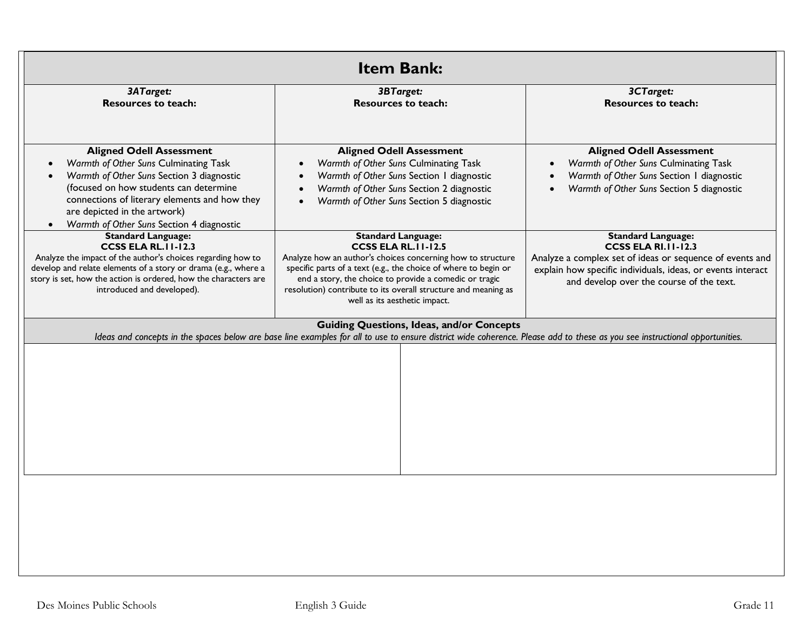| <b>Item Bank:</b>                                                                                                                                                                                                                                                                             |                                                                                                                                                                                                                                                                                                                                                         |                                                                                                                                                                                                                                |  |
|-----------------------------------------------------------------------------------------------------------------------------------------------------------------------------------------------------------------------------------------------------------------------------------------------|---------------------------------------------------------------------------------------------------------------------------------------------------------------------------------------------------------------------------------------------------------------------------------------------------------------------------------------------------------|--------------------------------------------------------------------------------------------------------------------------------------------------------------------------------------------------------------------------------|--|
| 3ATarget:<br><b>Resources to teach:</b>                                                                                                                                                                                                                                                       | 3BTarget:<br><b>Resources to teach:</b>                                                                                                                                                                                                                                                                                                                 | 3CTarget:<br><b>Resources to teach:</b>                                                                                                                                                                                        |  |
| <b>Aligned Odell Assessment</b><br>Warmth of Other Suns Culminating Task<br>Warmth of Other Suns Section 3 diagnostic<br>(focused on how students can determine<br>connections of literary elements and how they<br>are depicted in the artwork)<br>Warmth of Other Suns Section 4 diagnostic | <b>Aligned Odell Assessment</b><br>Warmth of Other Suns Culminating Task<br>$\bullet$<br>Warmth of Other Suns Section 1 diagnostic<br>$\bullet$<br>Warmth of Other Suns Section 2 diagnostic<br>$\bullet$<br>Warmth of Other Suns Section 5 diagnostic<br>$\bullet$                                                                                     | <b>Aligned Odell Assessment</b><br>Warmth of Other Suns Culminating Task<br>Warmth of Other Suns Section I diagnostic<br>Warmth of Other Suns Section 5 diagnostic                                                             |  |
| <b>Standard Language:</b><br><b>CCSS ELA RL. II-12.3</b><br>Analyze the impact of the author's choices regarding how to<br>develop and relate elements of a story or drama (e.g., where a<br>story is set, how the action is ordered, how the characters are<br>introduced and developed).    | <b>Standard Language:</b><br><b>CCSS ELA RL. II-12.5</b><br>Analyze how an author's choices concerning how to structure<br>specific parts of a text (e.g., the choice of where to begin or<br>end a story, the choice to provide a comedic or tragic<br>resolution) contribute to its overall structure and meaning as<br>well as its aesthetic impact. | <b>Standard Language:</b><br><b>CCSS ELA RI.11-12.3</b><br>Analyze a complex set of ideas or sequence of events and<br>explain how specific individuals, ideas, or events interact<br>and develop over the course of the text. |  |
|                                                                                                                                                                                                                                                                                               | <b>Guiding Questions, Ideas, and/or Concepts</b><br>Ideas and concepts in the spaces below are base line examples for all to use to ensure district wide coherence. Please add to these as you see instructional opportunities.                                                                                                                         |                                                                                                                                                                                                                                |  |
|                                                                                                                                                                                                                                                                                               |                                                                                                                                                                                                                                                                                                                                                         |                                                                                                                                                                                                                                |  |
|                                                                                                                                                                                                                                                                                               |                                                                                                                                                                                                                                                                                                                                                         |                                                                                                                                                                                                                                |  |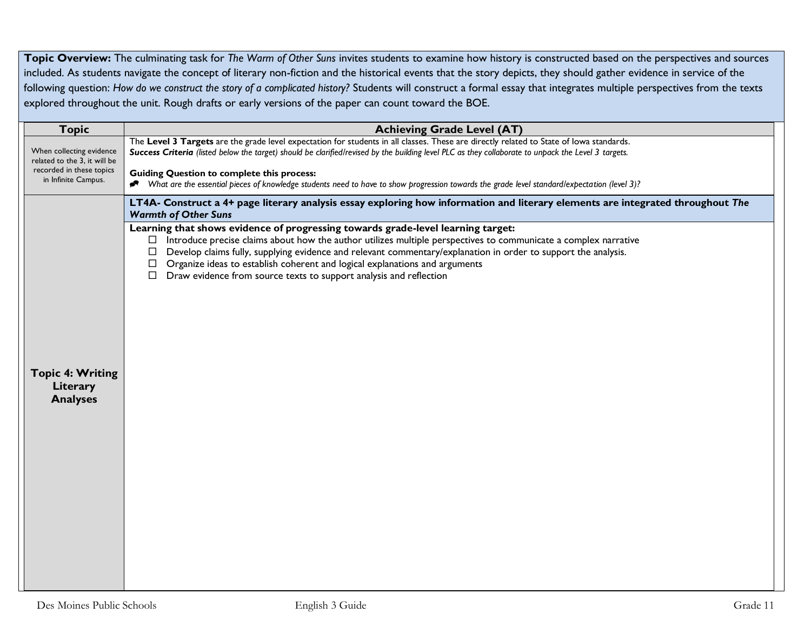**Topic Overview:** The culminating task for *The Warm of Other Suns* invites students to examine how history is constructed based on the perspectives and sources included. As students navigate the concept of literary non-fiction and the historical events that the story depicts, they should gather evidence in service of the following question: *How do we construct the story of a complicated history?* Students will construct a formal essay that integrates multiple perspectives from the texts explored throughout the unit. Rough drafts or early versions of the paper can count toward the BOE.

| <b>Topic</b>                                                                                                | <b>Achieving Grade Level (AT)</b>                                                                                                                                                                                                                                                                                                                                                                                                                                                                   |  |  |
|-------------------------------------------------------------------------------------------------------------|-----------------------------------------------------------------------------------------------------------------------------------------------------------------------------------------------------------------------------------------------------------------------------------------------------------------------------------------------------------------------------------------------------------------------------------------------------------------------------------------------------|--|--|
| When collecting evidence<br>related to the 3, it will be<br>recorded in these topics<br>in Infinite Campus. | The Level 3 Targets are the grade level expectation for students in all classes. These are directly related to State of lowa standards.<br>Success Criteria (listed below the target) should be clarified/revised by the building level PLC as they collaborate to unpack the Level 3 targets.<br><b>Guiding Question to complete this process:</b>                                                                                                                                                 |  |  |
|                                                                                                             | What are the essential pieces of knowledge students need to have to show progression towards the grade level standard/expectation (level 3)?<br>ℯ                                                                                                                                                                                                                                                                                                                                                   |  |  |
|                                                                                                             | LT4A- Construct a 4+ page literary analysis essay exploring how information and literary elements are integrated throughout The<br><b>Warmth of Other Suns</b>                                                                                                                                                                                                                                                                                                                                      |  |  |
|                                                                                                             | Learning that shows evidence of progressing towards grade-level learning target:<br>Introduce precise claims about how the author utilizes multiple perspectives to communicate a complex narrative<br>Develop claims fully, supplying evidence and relevant commentary/explanation in order to support the analysis.<br>□<br>Organize ideas to establish coherent and logical explanations and arguments<br>$\Box$<br>Draw evidence from source texts to support analysis and reflection<br>$\Box$ |  |  |
| <b>Topic 4: Writing</b><br>Literary<br><b>Analyses</b>                                                      |                                                                                                                                                                                                                                                                                                                                                                                                                                                                                                     |  |  |
|                                                                                                             |                                                                                                                                                                                                                                                                                                                                                                                                                                                                                                     |  |  |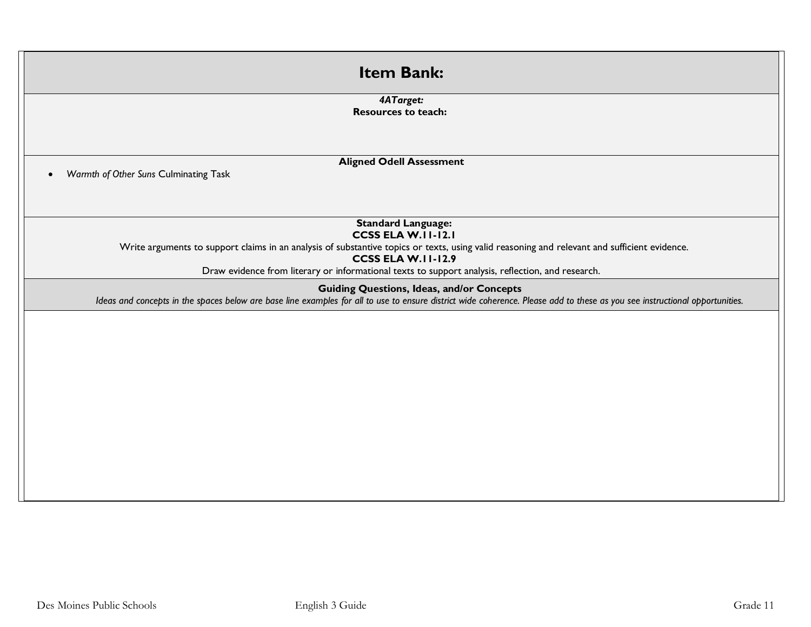| <b>Item Bank:</b>                                                                                                                                                                                                                                                                                                                        |
|------------------------------------------------------------------------------------------------------------------------------------------------------------------------------------------------------------------------------------------------------------------------------------------------------------------------------------------|
| 4ATarget:<br><b>Resources to teach:</b>                                                                                                                                                                                                                                                                                                  |
| <b>Aligned Odell Assessment</b><br>Warmth of Other Suns Culminating Task<br>$\bullet$                                                                                                                                                                                                                                                    |
| <b>Standard Language:</b><br><b>CCSS ELA W.II-12.I</b><br>Write arguments to support claims in an analysis of substantive topics or texts, using valid reasoning and relevant and sufficient evidence.<br><b>CCSS ELA W.II-12.9</b><br>Draw evidence from literary or informational texts to support analysis, reflection, and research. |
| <b>Guiding Questions, Ideas, and/or Concepts</b><br>Ideas and concepts in the spaces below are base line examples for all to use to ensure district wide coherence. Please add to these as you see instructional opportunities.                                                                                                          |
|                                                                                                                                                                                                                                                                                                                                          |
|                                                                                                                                                                                                                                                                                                                                          |
|                                                                                                                                                                                                                                                                                                                                          |
|                                                                                                                                                                                                                                                                                                                                          |
|                                                                                                                                                                                                                                                                                                                                          |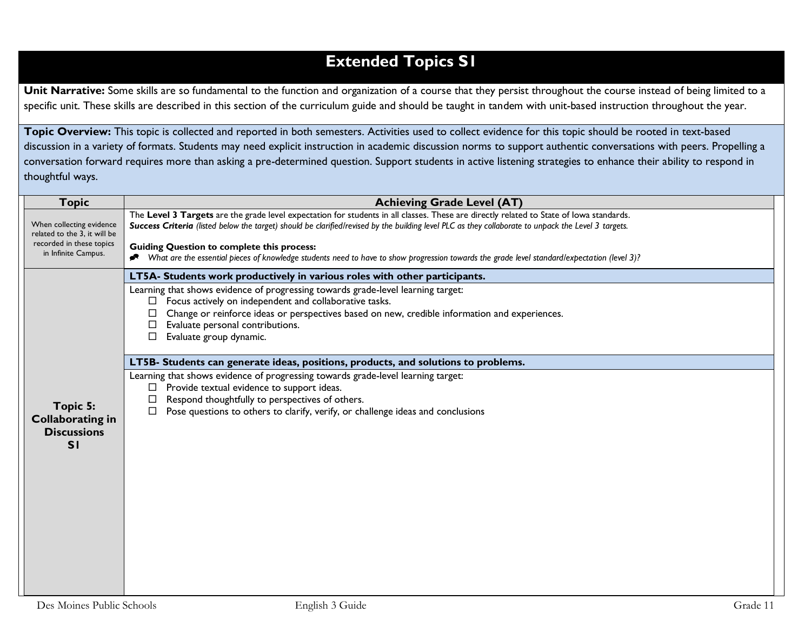## **Extended Topics S1**

Unit Narrative: Some skills are so fundamental to the function and organization of a course that they persist throughout the course instead of being limited to a specific unit. These skills are described in this section of the curriculum guide and should be taught in tandem with unit-based instruction throughout the year.

**Topic Overview:** This topic is collected and reported in both semesters. Activities used to collect evidence for this topic should be rooted in text-based discussion in a variety of formats. Students may need explicit instruction in academic discussion norms to support authentic conversations with peers. Propelling a conversation forward requires more than asking a pre-determined question. Support students in active listening strategies to enhance their ability to respond in thoughtful ways.

| <b>Topic</b>                                                                                                | <b>Achieving Grade Level (AT)</b>                                                                                                                                                                                                                                                                                                                                                                                                                                                                     |
|-------------------------------------------------------------------------------------------------------------|-------------------------------------------------------------------------------------------------------------------------------------------------------------------------------------------------------------------------------------------------------------------------------------------------------------------------------------------------------------------------------------------------------------------------------------------------------------------------------------------------------|
| When collecting evidence<br>related to the 3, it will be<br>recorded in these topics<br>in Infinite Campus. | The Level 3 Targets are the grade level expectation for students in all classes. These are directly related to State of lowa standards.<br>Success Criteria (listed below the target) should be clarified/revised by the building level PLC as they collaborate to unpack the Level 3 targets.<br><b>Guiding Question to complete this process:</b><br>◆ What are the essential pieces of knowledge students need to have to show progression towards the grade level standard/expectation (level 3)? |
|                                                                                                             | LT5A- Students work productively in various roles with other participants.<br>Learning that shows evidence of progressing towards grade-level learning target:<br>Focus actively on independent and collaborative tasks.<br>□                                                                                                                                                                                                                                                                         |
|                                                                                                             | Change or reinforce ideas or perspectives based on new, credible information and experiences.<br>Evaluate personal contributions.<br>Evaluate group dynamic.<br>□                                                                                                                                                                                                                                                                                                                                     |
|                                                                                                             | LT5B- Students can generate ideas, positions, products, and solutions to problems.                                                                                                                                                                                                                                                                                                                                                                                                                    |
| Topic 5:<br><b>Collaborating in</b><br><b>Discussions</b><br>SI                                             | Learning that shows evidence of progressing towards grade-level learning target:<br>Provide textual evidence to support ideas.<br>□<br>Respond thoughtfully to perspectives of others.<br>Pose questions to others to clarify, verify, or challenge ideas and conclusions<br>$\Box$                                                                                                                                                                                                                   |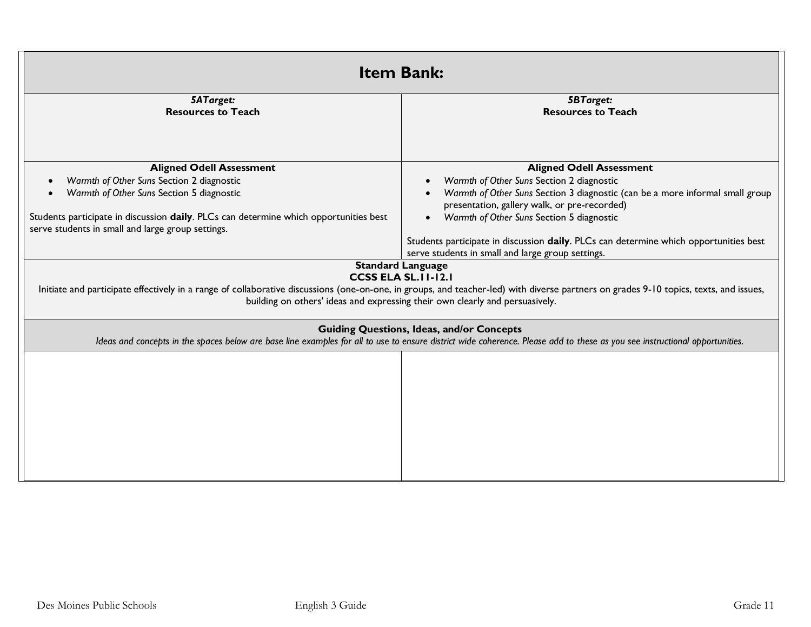| <b>Item Bank:</b>                                                                                                                                                                                                                                                                                                               |                                                                                                                                            |  |
|---------------------------------------------------------------------------------------------------------------------------------------------------------------------------------------------------------------------------------------------------------------------------------------------------------------------------------|--------------------------------------------------------------------------------------------------------------------------------------------|--|
| <b>5ATarget:</b><br><b>Resources to Teach</b>                                                                                                                                                                                                                                                                                   | <b>5BTarget:</b><br><b>Resources to Teach</b>                                                                                              |  |
|                                                                                                                                                                                                                                                                                                                                 |                                                                                                                                            |  |
| <b>Aligned Odell Assessment</b>                                                                                                                                                                                                                                                                                                 | <b>Aligned Odell Assessment</b>                                                                                                            |  |
| Warmth of Other Suns Section 2 diagnostic                                                                                                                                                                                                                                                                                       | Warmth of Other Suns Section 2 diagnostic                                                                                                  |  |
| Warmth of Other Suns Section 5 diagnostic                                                                                                                                                                                                                                                                                       | Warmth of Other Suns Section 3 diagnostic (can be a more informal small group<br>presentation, gallery walk, or pre-recorded)              |  |
| Students participate in discussion daily. PLCs can determine which opportunities best<br>serve students in small and large group settings.                                                                                                                                                                                      | Warmth of Other Suns Section 5 diagnostic                                                                                                  |  |
|                                                                                                                                                                                                                                                                                                                                 | Students participate in discussion daily. PLCs can determine which opportunities best<br>serve students in small and large group settings. |  |
| <b>Standard Language</b><br><b>CCSS ELA SL.II-12.I</b><br>Initiate and participate effectively in a range of collaborative discussions (one-on-one, in groups, and teacher-led) with diverse partners on grades 9-10 topics, texts, and issues,<br>building on others' ideas and expressing their own clearly and persuasively. |                                                                                                                                            |  |
| <b>Guiding Questions, Ideas, and/or Concepts</b><br>Ideas and concepts in the spaces below are base line examples for all to use to ensure district wide coherence. Please add to these as you see instructional opportunities.                                                                                                 |                                                                                                                                            |  |
|                                                                                                                                                                                                                                                                                                                                 |                                                                                                                                            |  |
|                                                                                                                                                                                                                                                                                                                                 |                                                                                                                                            |  |
|                                                                                                                                                                                                                                                                                                                                 |                                                                                                                                            |  |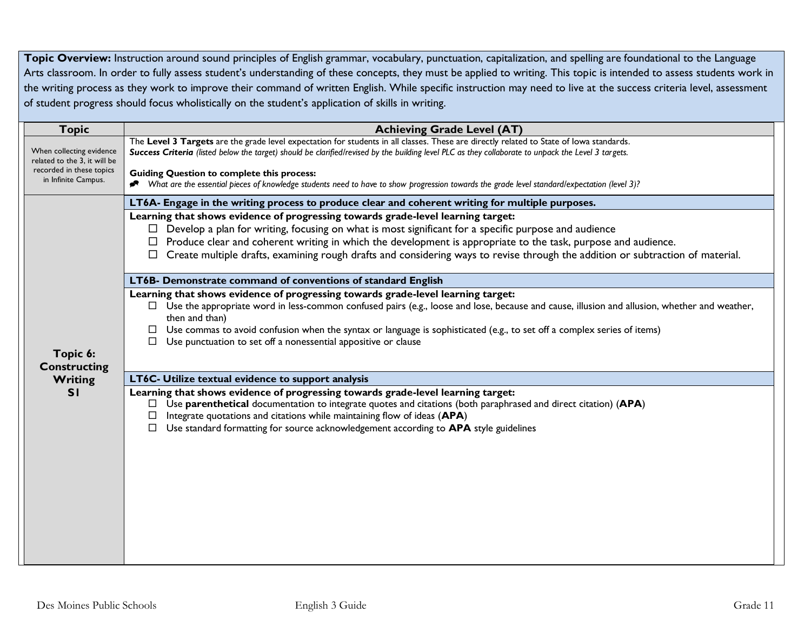Topic Overview: Instruction around sound principles of English grammar, vocabulary, punctuation, capitalization, and spelling are foundational to the Language Arts classroom. In order to fully assess student's understanding of these concepts, they must be applied to writing. This topic is intended to assess students work in the writing process as they work to improve their command of written English. While specific instruction may need to live at the success criteria level, assessment of student progress should focus wholistically on the student's application of skills in writing.

| <b>Topic</b>                                             | <b>Achieving Grade Level (AT)</b>                                                                                                                                                               |
|----------------------------------------------------------|-------------------------------------------------------------------------------------------------------------------------------------------------------------------------------------------------|
|                                                          | The Level 3 Targets are the grade level expectation for students in all classes. These are directly related to State of lowa standards.                                                         |
| When collecting evidence<br>related to the 3, it will be | Success Criteria (listed below the target) should be clarified/revised by the building level PLC as they collaborate to unpack the Level 3 targets.                                             |
| recorded in these topics<br>in Infinite Campus.          | <b>Guiding Question to complete this process:</b>                                                                                                                                               |
|                                                          | Nhat are the essential pieces of knowledge students need to have to show progression towards the grade level standard/expectation (level 3)?                                                    |
|                                                          | LT6A- Engage in the writing process to produce clear and coherent writing for multiple purposes.                                                                                                |
|                                                          | Learning that shows evidence of progressing towards grade-level learning target:                                                                                                                |
|                                                          | $\Box$ Develop a plan for writing, focusing on what is most significant for a specific purpose and audience                                                                                     |
|                                                          | $\Box$ Produce clear and coherent writing in which the development is appropriate to the task, purpose and audience.                                                                            |
|                                                          | Create multiple drafts, examining rough drafts and considering ways to revise through the addition or subtraction of material.                                                                  |
|                                                          | LT6B- Demonstrate command of conventions of standard English                                                                                                                                    |
|                                                          | Learning that shows evidence of progressing towards grade-level learning target:                                                                                                                |
|                                                          | $\Box$ Use the appropriate word in less-common confused pairs (e.g., loose and lose, because and cause, illusion and allusion, whether and weather,                                             |
|                                                          | then and than)<br>Use commas to avoid confusion when the syntax or language is sophisticated (e.g., to set off a complex series of items)                                                       |
|                                                          | Use punctuation to set off a nonessential appositive or clause                                                                                                                                  |
| Topic 6:                                                 |                                                                                                                                                                                                 |
| <b>Constructing</b>                                      |                                                                                                                                                                                                 |
| Writing                                                  | LT6C- Utilize textual evidence to support analysis                                                                                                                                              |
| SI                                                       | Learning that shows evidence of progressing towards grade-level learning target:                                                                                                                |
|                                                          | Use parenthetical documentation to integrate quotes and citations (both paraphrased and direct citation) (APA)<br>ப<br>Integrate quotations and citations while maintaining flow of ideas (APA) |
|                                                          | Use standard formatting for source acknowledgement according to APA style guidelines<br>$\Box$                                                                                                  |
|                                                          |                                                                                                                                                                                                 |
|                                                          |                                                                                                                                                                                                 |
|                                                          |                                                                                                                                                                                                 |
|                                                          |                                                                                                                                                                                                 |
|                                                          |                                                                                                                                                                                                 |
|                                                          |                                                                                                                                                                                                 |
|                                                          |                                                                                                                                                                                                 |
|                                                          |                                                                                                                                                                                                 |
|                                                          |                                                                                                                                                                                                 |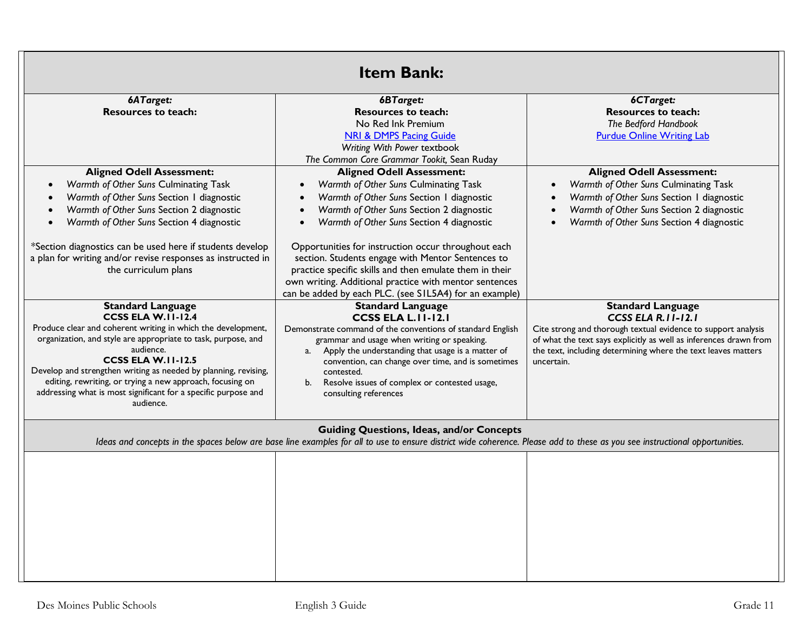|                                                                                                                                                                                                                                                                                                                                                                                                                                          | <b>Item Bank:</b>                                                                                                                                                                                                                                                                                                                                                                                    |                                                                                                                                                                                                                                                                      |
|------------------------------------------------------------------------------------------------------------------------------------------------------------------------------------------------------------------------------------------------------------------------------------------------------------------------------------------------------------------------------------------------------------------------------------------|------------------------------------------------------------------------------------------------------------------------------------------------------------------------------------------------------------------------------------------------------------------------------------------------------------------------------------------------------------------------------------------------------|----------------------------------------------------------------------------------------------------------------------------------------------------------------------------------------------------------------------------------------------------------------------|
| 6ATarget:<br><b>Resources to teach:</b>                                                                                                                                                                                                                                                                                                                                                                                                  | 6BTarget:<br><b>Resources to teach:</b><br>No Red Ink Premium<br><b>NRI &amp; DMPS Pacing Guide</b><br>Writing With Power textbook                                                                                                                                                                                                                                                                   | 6CTarget:<br><b>Resources to teach:</b><br>The Bedford Handbook<br><b>Purdue Online Writing Lab</b>                                                                                                                                                                  |
| <b>Aligned Odell Assessment:</b><br>Warmth of Other Suns Culminating Task<br>Warmth of Other Suns Section I diagnostic<br>Warmth of Other Suns Section 2 diagnostic<br>Warmth of Other Suns Section 4 diagnostic<br>*Section diagnostics can be used here if students develop<br>a plan for writing and/or revise responses as instructed in                                                                                             | The Common Core Grammar Tookit, Sean Ruday<br><b>Aligned Odell Assessment:</b><br>Warmth of Other Suns Culminating Task<br>$\bullet$<br>Warmth of Other Suns Section I diagnostic<br>Warmth of Other Suns Section 2 diagnostic<br>$\bullet$<br>Warmth of Other Suns Section 4 diagnostic<br>Opportunities for instruction occur throughout each<br>section. Students engage with Mentor Sentences to | <b>Aligned Odell Assessment:</b><br>Warmth of Other Suns Culminating Task<br>Warmth of Other Suns Section I diagnostic<br>Warmth of Other Suns Section 2 diagnostic<br>Warmth of Other Suns Section 4 diagnostic                                                     |
| the curriculum plans                                                                                                                                                                                                                                                                                                                                                                                                                     | practice specific skills and then emulate them in their<br>own writing. Additional practice with mentor sentences<br>can be added by each PLC. (see S1L5A4) for an example)                                                                                                                                                                                                                          |                                                                                                                                                                                                                                                                      |
| <b>Standard Language</b><br><b>CCSS ELA W.II-12.4</b><br>Produce clear and coherent writing in which the development,<br>organization, and style are appropriate to task, purpose, and<br>audience.<br>CCSS ELA W.II-12.5<br>Develop and strengthen writing as needed by planning, revising,<br>editing, rewriting, or trying a new approach, focusing on<br>addressing what is most significant for a specific purpose and<br>audience. | <b>Standard Language</b><br><b>CCSS ELA L.II-12.I</b><br>Demonstrate command of the conventions of standard English<br>grammar and usage when writing or speaking.<br>Apply the understanding that usage is a matter of<br>a.<br>convention, can change over time, and is sometimes<br>contested.<br>Resolve issues of complex or contested usage,<br>b.<br>consulting references                    | <b>Standard Language</b><br>CCSS ELA R. II-12.1<br>Cite strong and thorough textual evidence to support analysis<br>of what the text says explicitly as well as inferences drawn from<br>the text, including determining where the text leaves matters<br>uncertain. |
|                                                                                                                                                                                                                                                                                                                                                                                                                                          | <b>Guiding Questions, Ideas, and/or Concepts</b><br>Ideas and concepts in the spaces below are base line examples for all to use to ensure district wide coherence. Please add to these as you see instructional opportunities.                                                                                                                                                                      |                                                                                                                                                                                                                                                                      |
|                                                                                                                                                                                                                                                                                                                                                                                                                                          |                                                                                                                                                                                                                                                                                                                                                                                                      |                                                                                                                                                                                                                                                                      |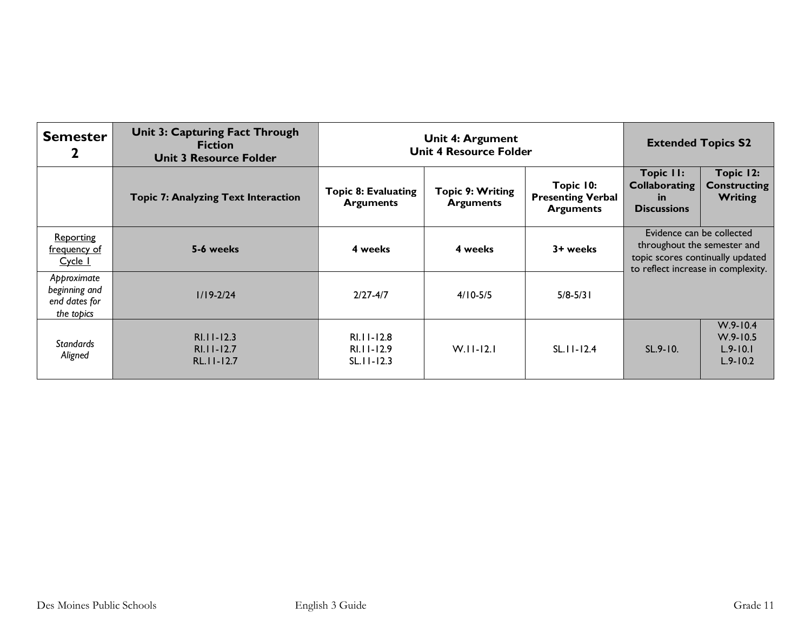| <b>Semester</b>                                             | <b>Unit 3: Capturing Fact Through</b><br><b>Fiction</b><br><b>Unit 3 Resource Folder</b> | Unit 4: Argument<br><b>Unit 4 Resource Folder</b> |                                      | <b>Extended Topics S2</b>                                 |                                                                                              |                                                              |
|-------------------------------------------------------------|------------------------------------------------------------------------------------------|---------------------------------------------------|--------------------------------------|-----------------------------------------------------------|----------------------------------------------------------------------------------------------|--------------------------------------------------------------|
|                                                             | <b>Topic 7: Analyzing Text Interaction</b>                                               | <b>Topic 8: Evaluating</b><br><b>Arguments</b>    | Topic 9: Writing<br><b>Arguments</b> | Topic 10:<br><b>Presenting Verbal</b><br><b>Arguments</b> | <b>Topic II:</b><br><b>Collaborating</b><br>-in<br><b>Discussions</b>                        | Topic 12:<br><b>Constructing</b><br><b>Writing</b>           |
| <b>Reporting</b><br>frequency of<br>Cycle 1                 | 5-6 weeks                                                                                | 4 weeks                                           | 4 weeks                              | 3+ weeks                                                  | Evidence can be collected<br>throughout the semester and<br>topic scores continually updated | to reflect increase in complexity.                           |
| Approximate<br>beginning and<br>end dates for<br>the topics | $1/19 - 2/24$                                                                            | $2/27 - 4/7$                                      | $4/10 - 5/5$                         | $5/8 - 5/3$                                               |                                                                                              |                                                              |
| <b>Standards</b><br>Aligned                                 | $RI.I-I2.3$<br>RI.11-12.7<br>$RL.11 - 12.7$                                              | RI.11-12.8<br>RI.11-12.9<br>$SL.11 - 12.3$        | $W.I.I-I2.I$                         | $SL.11 - 12.4$                                            | $SL.9 - 10.$                                                                                 | $W.9 - 10.4$<br>$W.9 - 10.5$<br>$L.9 - 10.1$<br>$L.9 - 10.2$ |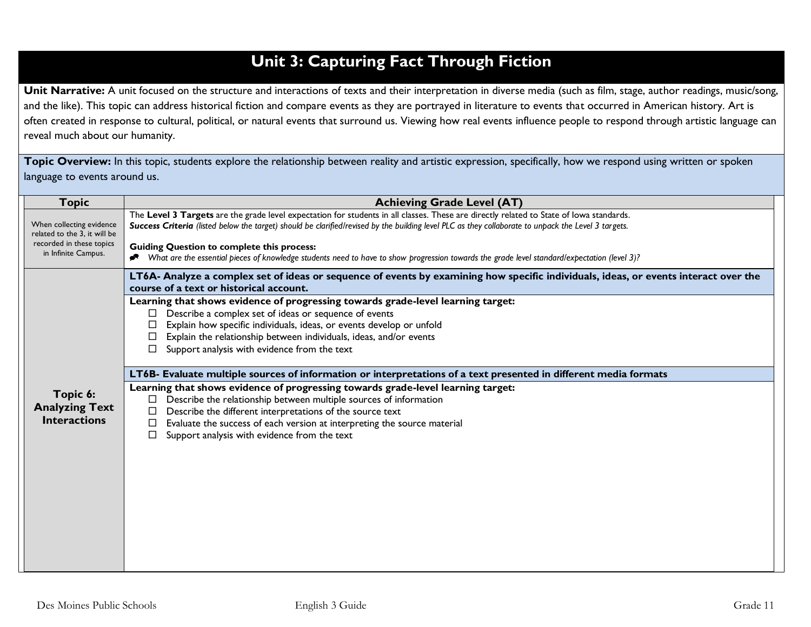# **Unit 3: Capturing Fact Through Fiction**

Unit Narrative: A unit focused on the structure and interactions of texts and their interpretation in diverse media (such as film, stage, author readings, music/song, and the like). This topic can address historical fiction and compare events as they are portrayed in literature to events that occurred in American history. Art is often created in response to cultural, political, or natural events that surround us. Viewing how real events influence people to respond through artistic language can reveal much about our humanity.

Topic Overview: In this topic, students explore the relationship between reality and artistic expression, specifically, how we respond using written or spoken language to events around us.

| <b>Topic</b>                                                                                                | <b>Achieving Grade Level (AT)</b>                                                                                                                                                                                                                                                                                                                                                                                                                                                                                                                                                                                                                                                                                                                                                                                                                                                                                                                                                                          |
|-------------------------------------------------------------------------------------------------------------|------------------------------------------------------------------------------------------------------------------------------------------------------------------------------------------------------------------------------------------------------------------------------------------------------------------------------------------------------------------------------------------------------------------------------------------------------------------------------------------------------------------------------------------------------------------------------------------------------------------------------------------------------------------------------------------------------------------------------------------------------------------------------------------------------------------------------------------------------------------------------------------------------------------------------------------------------------------------------------------------------------|
| When collecting evidence<br>related to the 3. it will be<br>recorded in these topics<br>in Infinite Campus. | The Level 3 Targets are the grade level expectation for students in all classes. These are directly related to State of lowa standards.<br>Success Criteria (listed below the target) should be clarified/revised by the building level PLC as they collaborate to unpack the Level 3 targets.<br><b>Guiding Question to complete this process:</b><br>What are the essential pieces of knowledge students need to have to show progression towards the grade level standard/expectation (level 3)?                                                                                                                                                                                                                                                                                                                                                                                                                                                                                                        |
| Topic 6:<br><b>Analyzing Text</b><br><b>Interactions</b>                                                    | LT6A- Analyze a complex set of ideas or sequence of events by examining how specific individuals, ideas, or events interact over the<br>course of a text or historical account.<br>Learning that shows evidence of progressing towards grade-level learning target:<br>Describe a complex set of ideas or sequence of events<br>Explain how specific individuals, ideas, or events develop or unfold<br>Explain the relationship between individuals, ideas, and/or events<br>Support analysis with evidence from the text<br>LT6B- Evaluate multiple sources of information or interpretations of a text presented in different media formats<br>Learning that shows evidence of progressing towards grade-level learning target:<br>Describe the relationship between multiple sources of information<br>⊔<br>Describe the different interpretations of the source text<br>Evaluate the success of each version at interpreting the source material<br>Support analysis with evidence from the text<br>П |
|                                                                                                             |                                                                                                                                                                                                                                                                                                                                                                                                                                                                                                                                                                                                                                                                                                                                                                                                                                                                                                                                                                                                            |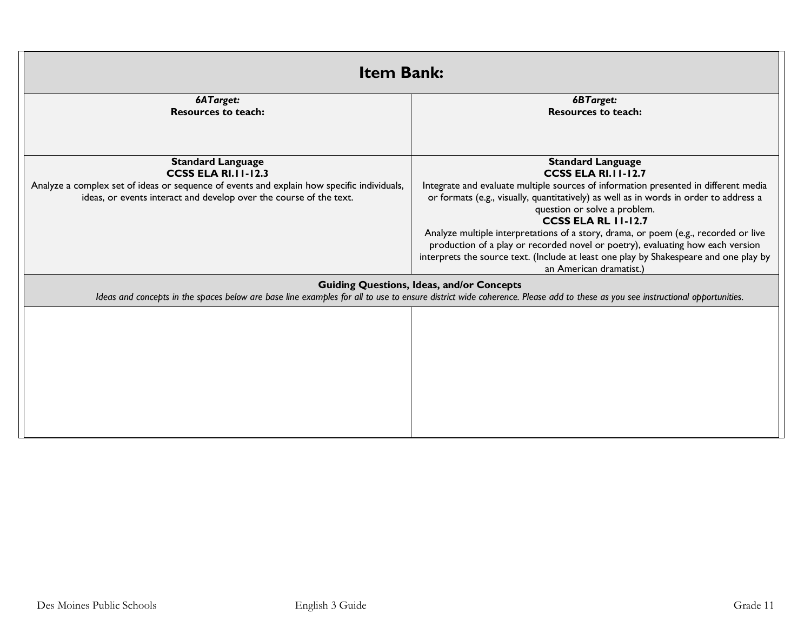| <b>Item Bank:</b>                                                                                                                                                                                                               |                                                                                                                                                                                                                                                                                                                                                                                                                                                                                                                                                                                                   |  |
|---------------------------------------------------------------------------------------------------------------------------------------------------------------------------------------------------------------------------------|---------------------------------------------------------------------------------------------------------------------------------------------------------------------------------------------------------------------------------------------------------------------------------------------------------------------------------------------------------------------------------------------------------------------------------------------------------------------------------------------------------------------------------------------------------------------------------------------------|--|
| 6ATarget:<br><b>Resources to teach:</b>                                                                                                                                                                                         | 6BTarget:<br><b>Resources to teach:</b>                                                                                                                                                                                                                                                                                                                                                                                                                                                                                                                                                           |  |
| <b>Standard Language</b><br><b>CCSS ELA RI.11-12.3</b><br>Analyze a complex set of ideas or sequence of events and explain how specific individuals,<br>ideas, or events interact and develop over the course of the text.      | <b>Standard Language</b><br><b>CCSS ELA RI.11-12.7</b><br>Integrate and evaluate multiple sources of information presented in different media<br>or formats (e.g., visually, quantitatively) as well as in words in order to address a<br>question or solve a problem.<br><b>CCSS ELA RL 11-12.7</b><br>Analyze multiple interpretations of a story, drama, or poem (e.g., recorded or live<br>production of a play or recorded novel or poetry), evaluating how each version<br>interprets the source text. (Include at least one play by Shakespeare and one play by<br>an American dramatist.) |  |
| <b>Guiding Questions, Ideas, and/or Concepts</b><br>Ideas and concepts in the spaces below are base line examples for all to use to ensure district wide coherence. Please add to these as you see instructional opportunities. |                                                                                                                                                                                                                                                                                                                                                                                                                                                                                                                                                                                                   |  |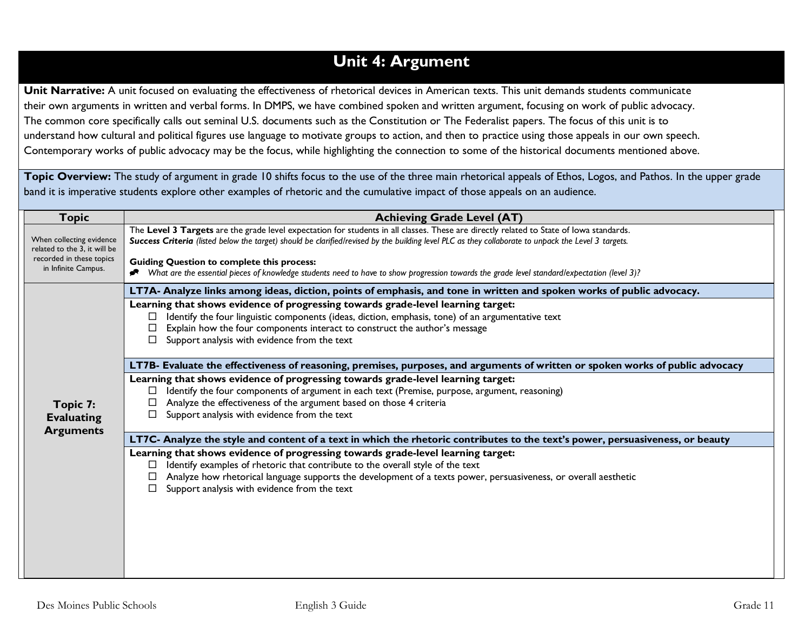## **Unit 4: Argument**

**Unit Narrative:** A unit focused on evaluating the effectiveness of rhetorical devices in American texts. This unit demands students communicate their own arguments in written and verbal forms. In DMPS, we have combined spoken and written argument, focusing on work of public advocacy. The common core specifically calls out seminal U.S. documents such as the Constitution or The Federalist papers. The focus of this unit is to understand how cultural and political figures use language to motivate groups to action, and then to practice using those appeals in our own speech. Contemporary works of public advocacy may be the focus, while highlighting the connection to some of the historical documents mentioned above.

Topic Overview: The study of argument in grade 10 shifts focus to the use of the three main rhetorical appeals of Ethos, Logos, and Pathos. In the upper grade band it is imperative students explore other examples of rhetoric and the cumulative impact of those appeals on an audience.

| <b>Topic</b>                                                                         | <b>Achieving Grade Level (AT)</b>                                                                                                                                                                                                                                                              |
|--------------------------------------------------------------------------------------|------------------------------------------------------------------------------------------------------------------------------------------------------------------------------------------------------------------------------------------------------------------------------------------------|
| When collecting evidence<br>related to the 3, it will be<br>recorded in these topics | The Level 3 Targets are the grade level expectation for students in all classes. These are directly related to State of lowa standards.<br>Success Criteria (listed below the target) should be clarified/revised by the building level PLC as they collaborate to unpack the Level 3 targets. |
| in Infinite Campus.                                                                  | <b>Guiding Question to complete this process:</b><br>Nhat are the essential pieces of knowledge students need to have to show progression towards the grade level standard/expectation (level 3)?                                                                                              |
|                                                                                      | LT7A- Analyze links among ideas, diction, points of emphasis, and tone in written and spoken works of public advocacy.                                                                                                                                                                         |
|                                                                                      | Learning that shows evidence of progressing towards grade-level learning target:                                                                                                                                                                                                               |
|                                                                                      | Identify the four linguistic components (ideas, diction, emphasis, tone) of an argumentative text                                                                                                                                                                                              |
|                                                                                      | Explain how the four components interact to construct the author's message                                                                                                                                                                                                                     |
|                                                                                      | Support analysis with evidence from the text                                                                                                                                                                                                                                                   |
|                                                                                      | LT7B- Evaluate the effectiveness of reasoning, premises, purposes, and arguments of written or spoken works of public advocacy                                                                                                                                                                 |
|                                                                                      | Learning that shows evidence of progressing towards grade-level learning target:                                                                                                                                                                                                               |
|                                                                                      | Identify the four components of argument in each text (Premise, purpose, argument, reasoning)                                                                                                                                                                                                  |
| Topic 7:                                                                             | Analyze the effectiveness of the argument based on those 4 criteria                                                                                                                                                                                                                            |
| <b>Evaluating</b>                                                                    | Support analysis with evidence from the text<br>$\Box$                                                                                                                                                                                                                                         |
| <b>Arguments</b>                                                                     | LT7C- Analyze the style and content of a text in which the rhetoric contributes to the text's power, persuasiveness, or beauty                                                                                                                                                                 |
|                                                                                      | Learning that shows evidence of progressing towards grade-level learning target:                                                                                                                                                                                                               |
|                                                                                      | Identify examples of rhetoric that contribute to the overall style of the text                                                                                                                                                                                                                 |
|                                                                                      | Analyze how rhetorical language supports the development of a texts power, persuasiveness, or overall aesthetic                                                                                                                                                                                |
|                                                                                      | Support analysis with evidence from the text                                                                                                                                                                                                                                                   |
|                                                                                      |                                                                                                                                                                                                                                                                                                |
|                                                                                      |                                                                                                                                                                                                                                                                                                |
|                                                                                      |                                                                                                                                                                                                                                                                                                |
|                                                                                      |                                                                                                                                                                                                                                                                                                |
|                                                                                      |                                                                                                                                                                                                                                                                                                |
|                                                                                      |                                                                                                                                                                                                                                                                                                |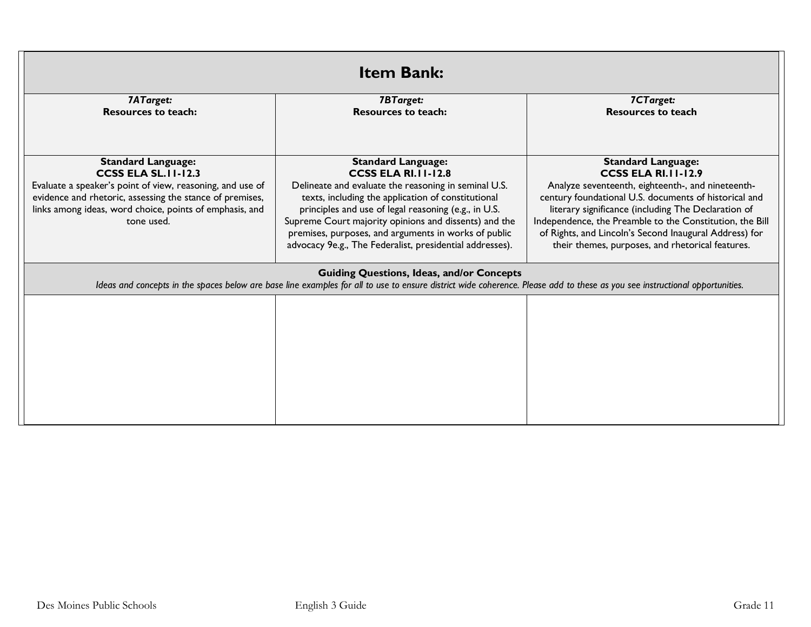|                                                                                          | <b>Item Bank:</b>                                                                                                                                                                                                               |                                                                                                            |
|------------------------------------------------------------------------------------------|---------------------------------------------------------------------------------------------------------------------------------------------------------------------------------------------------------------------------------|------------------------------------------------------------------------------------------------------------|
| 7ATarget:<br><b>Resources to teach:</b>                                                  | <b>7BTarget:</b><br><b>Resources to teach:</b>                                                                                                                                                                                  | 7CTarget:<br><b>Resources to teach</b>                                                                     |
|                                                                                          |                                                                                                                                                                                                                                 |                                                                                                            |
| <b>Standard Language:</b>                                                                | <b>Standard Language:</b>                                                                                                                                                                                                       | <b>Standard Language:</b>                                                                                  |
| <b>CCSS ELA SL. II-12.3</b><br>Evaluate a speaker's point of view, reasoning, and use of | <b>CCSS ELA RI.11-12.8</b><br>Delineate and evaluate the reasoning in seminal U.S.                                                                                                                                              | <b>CCSS ELA RI.11-12.9</b><br>Analyze seventeenth, eighteenth-, and nineteenth-                            |
| evidence and rhetoric, assessing the stance of premises,                                 | texts, including the application of constitutional                                                                                                                                                                              | century foundational U.S. documents of historical and                                                      |
| links among ideas, word choice, points of emphasis, and                                  | principles and use of legal reasoning (e.g., in U.S.                                                                                                                                                                            | literary significance (including The Declaration of                                                        |
| tone used.                                                                               | Supreme Court majority opinions and dissents) and the                                                                                                                                                                           | Independence, the Preamble to the Constitution, the Bill                                                   |
|                                                                                          | premises, purposes, and arguments in works of public<br>advocacy 9e.g., The Federalist, presidential addresses).                                                                                                                | of Rights, and Lincoln's Second Inaugural Address) for<br>their themes, purposes, and rhetorical features. |
|                                                                                          |                                                                                                                                                                                                                                 |                                                                                                            |
|                                                                                          | <b>Guiding Questions, Ideas, and/or Concepts</b><br>Ideas and concepts in the spaces below are base line examples for all to use to ensure district wide coherence. Please add to these as you see instructional opportunities. |                                                                                                            |
|                                                                                          |                                                                                                                                                                                                                                 |                                                                                                            |
|                                                                                          |                                                                                                                                                                                                                                 |                                                                                                            |
|                                                                                          |                                                                                                                                                                                                                                 |                                                                                                            |
|                                                                                          |                                                                                                                                                                                                                                 |                                                                                                            |
|                                                                                          |                                                                                                                                                                                                                                 |                                                                                                            |
|                                                                                          |                                                                                                                                                                                                                                 |                                                                                                            |
|                                                                                          |                                                                                                                                                                                                                                 |                                                                                                            |
|                                                                                          |                                                                                                                                                                                                                                 |                                                                                                            |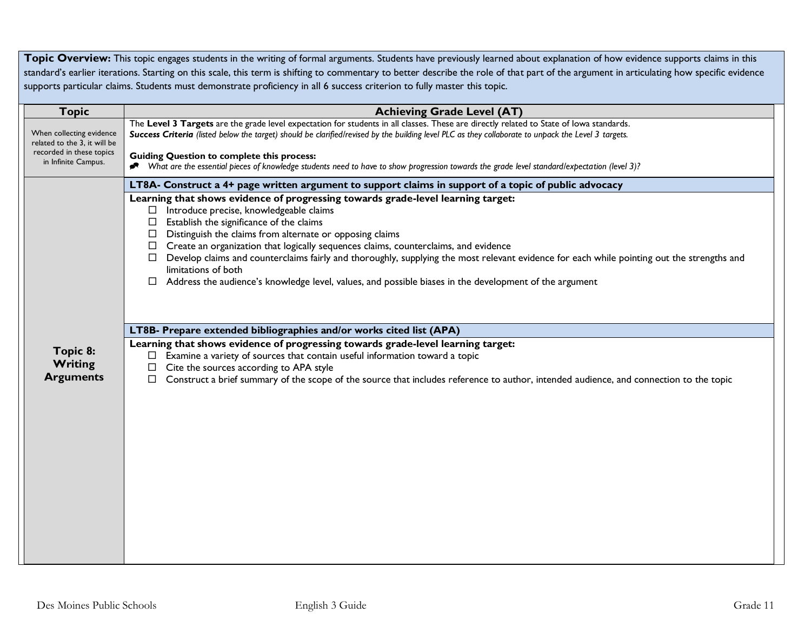Topic Overview: This topic engages students in the writing of formal arguments. Students have previously learned about explanation of how evidence supports claims in this standard's earlier iterations. Starting on this scale, this term is shifting to commentary to better describe the role of that part of the argument in articulating how specific evidence supports particular claims. Students must demonstrate proficiency in all 6 success criterion to fully master this topic.

| <b>Topic</b>                                             | <b>Achieving Grade Level (AT)</b>                                                                                                                                                                                                                                                                                                                                                                                                                                                                                                                                                                                                                 |
|----------------------------------------------------------|---------------------------------------------------------------------------------------------------------------------------------------------------------------------------------------------------------------------------------------------------------------------------------------------------------------------------------------------------------------------------------------------------------------------------------------------------------------------------------------------------------------------------------------------------------------------------------------------------------------------------------------------------|
| When collecting evidence<br>related to the 3, it will be | The Level 3 Targets are the grade level expectation for students in all classes. These are directly related to State of lowa standards.<br>Success Criteria (listed below the target) should be clarified/revised by the building level PLC as they collaborate to unpack the Level 3 targets.                                                                                                                                                                                                                                                                                                                                                    |
| recorded in these topics<br>in Infinite Campus.          | <b>Guiding Question to complete this process:</b><br>What are the essential pieces of knowledge students need to have to show progression towards the grade level standard/expectation (level 3)?                                                                                                                                                                                                                                                                                                                                                                                                                                                 |
|                                                          | LT8A- Construct a 4+ page written argument to support claims in support of a topic of public advocacy                                                                                                                                                                                                                                                                                                                                                                                                                                                                                                                                             |
|                                                          | Learning that shows evidence of progressing towards grade-level learning target:<br>Introduce precise, knowledgeable claims<br>Ш.<br>Establish the significance of the claims<br>$\Box$<br>$\Box$ Distinguish the claims from alternate or opposing claims<br>$\Box$ Create an organization that logically sequences claims, counterclaims, and evidence<br>Develop claims and counterclaims fairly and thoroughly, supplying the most relevant evidence for each while pointing out the strengths and<br>limitations of both<br>Address the audience's knowledge level, values, and possible biases in the development of the argument<br>$\Box$ |
|                                                          | LT8B- Prepare extended bibliographies and/or works cited list (APA)                                                                                                                                                                                                                                                                                                                                                                                                                                                                                                                                                                               |
| Topic 8:<br><b>Writing</b><br><b>Arguments</b>           | Learning that shows evidence of progressing towards grade-level learning target:<br>Examine a variety of sources that contain useful information toward a topic<br>Cite the sources according to APA style<br>Construct a brief summary of the scope of the source that includes reference to author, intended audience, and connection to the topic<br>□                                                                                                                                                                                                                                                                                         |
|                                                          |                                                                                                                                                                                                                                                                                                                                                                                                                                                                                                                                                                                                                                                   |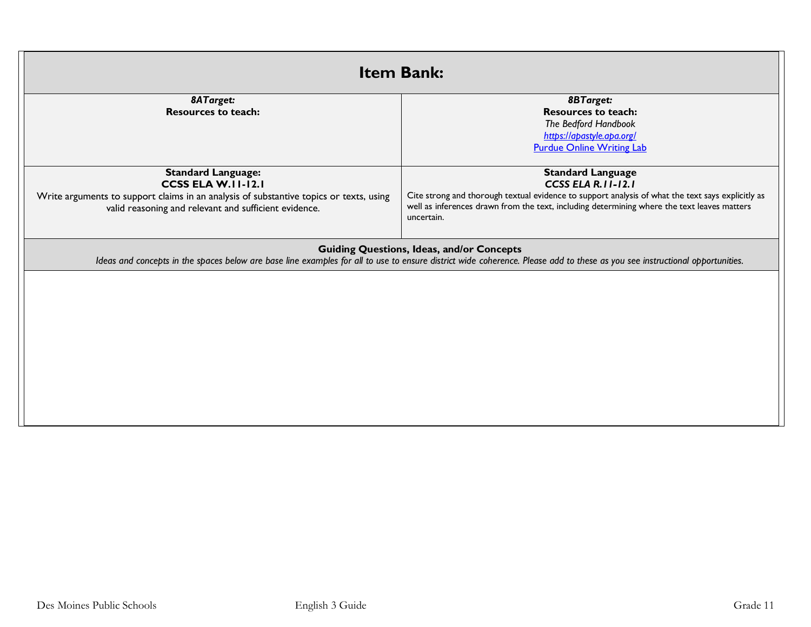| <b>Item Bank:</b>                                                                                                                               |                                                                                                                                                                                                                                 |
|-------------------------------------------------------------------------------------------------------------------------------------------------|---------------------------------------------------------------------------------------------------------------------------------------------------------------------------------------------------------------------------------|
| 8ATarget:<br><b>Resources to teach:</b>                                                                                                         | <b>8BTarget:</b><br><b>Resources to teach:</b>                                                                                                                                                                                  |
|                                                                                                                                                 | The Bedford Handbook                                                                                                                                                                                                            |
|                                                                                                                                                 | https://apastyle.apa.org/<br><b>Purdue Online Writing Lab</b>                                                                                                                                                                   |
|                                                                                                                                                 |                                                                                                                                                                                                                                 |
| <b>Standard Language:</b><br><b>CCSS ELA W.II-12.I</b>                                                                                          | <b>Standard Language</b><br>CCSS ELA R. I I-12.1                                                                                                                                                                                |
| Write arguments to support claims in an analysis of substantive topics or texts, using<br>valid reasoning and relevant and sufficient evidence. | Cite strong and thorough textual evidence to support analysis of what the text says explicitly as<br>well as inferences drawn from the text, including determining where the text leaves matters<br>uncertain.                  |
|                                                                                                                                                 | <b>Guiding Questions, Ideas, and/or Concepts</b><br>Ideas and concepts in the spaces below are base line examples for all to use to ensure district wide coherence. Please add to these as you see instructional opportunities. |
|                                                                                                                                                 |                                                                                                                                                                                                                                 |
|                                                                                                                                                 |                                                                                                                                                                                                                                 |
|                                                                                                                                                 |                                                                                                                                                                                                                                 |
|                                                                                                                                                 |                                                                                                                                                                                                                                 |
|                                                                                                                                                 |                                                                                                                                                                                                                                 |
|                                                                                                                                                 |                                                                                                                                                                                                                                 |
|                                                                                                                                                 |                                                                                                                                                                                                                                 |
|                                                                                                                                                 |                                                                                                                                                                                                                                 |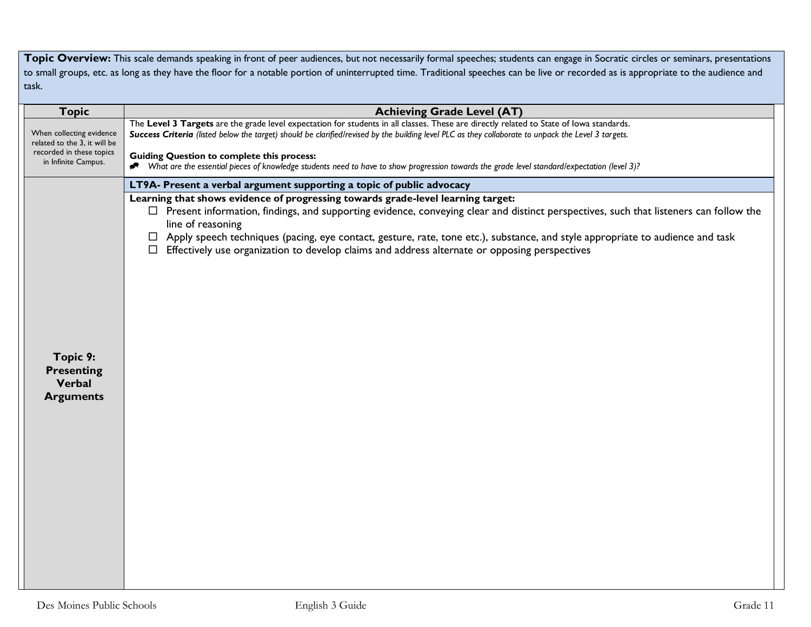Topic Overview: This scale demands speaking in front of peer audiences, but not necessarily formal speeches; students can engage in Socratic circles or seminars, presentations to small groups, etc. as long as they have the floor for a notable portion of uninterrupted time. Traditional speeches can be live or recorded as is appropriate to the audience and task.

| <b>Topic</b>                                                                                                | <b>Achieving Grade Level (AT)</b>                                                                                                                                                                                                                                                                                                                                                                                                                                                                    |
|-------------------------------------------------------------------------------------------------------------|------------------------------------------------------------------------------------------------------------------------------------------------------------------------------------------------------------------------------------------------------------------------------------------------------------------------------------------------------------------------------------------------------------------------------------------------------------------------------------------------------|
| When collecting evidence<br>related to the 3, it will be<br>recorded in these topics<br>in Infinite Campus. | The Level 3 Targets are the grade level expectation for students in all classes. These are directly related to State of lowa standards.<br>Success Criteria (listed below the target) should be clarified/revised by the building level PLC as they collaborate to unpack the Level 3 targets.<br><b>Guiding Question to complete this process:</b><br>Nhat are the essential pieces of knowledge students need to have to show progression towards the grade level standard/expectation (level 3)?  |
|                                                                                                             | LT9A- Present a verbal argument supporting a topic of public advocacy                                                                                                                                                                                                                                                                                                                                                                                                                                |
|                                                                                                             | Learning that shows evidence of progressing towards grade-level learning target:<br>$\Box$ Present information, findings, and supporting evidence, conveying clear and distinct perspectives, such that listeners can follow the<br>line of reasoning<br>□ Apply speech techniques (pacing, eye contact, gesture, rate, tone etc.), substance, and style appropriate to audience and task<br>Effectively use organization to develop claims and address alternate or opposing perspectives<br>$\Box$ |
| Topic 9:<br><b>Presenting</b><br>Verbal<br><b>Arguments</b>                                                 |                                                                                                                                                                                                                                                                                                                                                                                                                                                                                                      |
|                                                                                                             |                                                                                                                                                                                                                                                                                                                                                                                                                                                                                                      |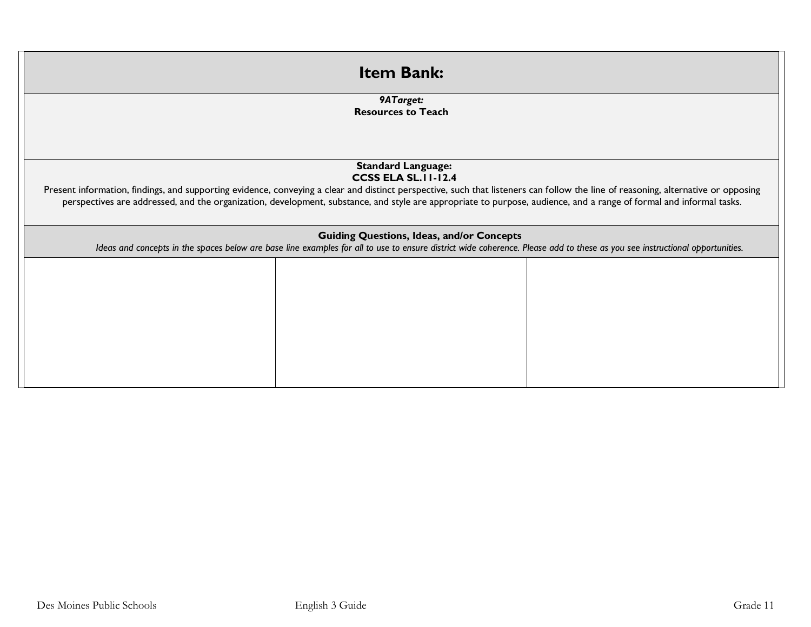| <b>Item Bank:</b>                                                                                                                                                                                               |  |
|-----------------------------------------------------------------------------------------------------------------------------------------------------------------------------------------------------------------|--|
| 9ATarget:<br><b>Resources to Teach</b>                                                                                                                                                                          |  |
|                                                                                                                                                                                                                 |  |
| <b>Standard Language:</b>                                                                                                                                                                                       |  |
| <b>CCSS ELA SL.II-12.4</b><br>Present information, findings, and supporting evidence, conveying a clear and distinct perspective, such that listeners can follow the line of reasoning, alternative or opposing |  |
| perspectives are addressed, and the organization, development, substance, and style are appropriate to purpose, audience, and a range of formal and informal tasks.                                             |  |
|                                                                                                                                                                                                                 |  |
| <b>Guiding Questions, Ideas, and/or Concepts</b>                                                                                                                                                                |  |
| Ideas and concepts in the spaces below are base line examples for all to use to ensure district wide coherence. Please add to these as you see instructional opportunities.                                     |  |
|                                                                                                                                                                                                                 |  |
|                                                                                                                                                                                                                 |  |
|                                                                                                                                                                                                                 |  |
|                                                                                                                                                                                                                 |  |
|                                                                                                                                                                                                                 |  |
|                                                                                                                                                                                                                 |  |
|                                                                                                                                                                                                                 |  |
|                                                                                                                                                                                                                 |  |
|                                                                                                                                                                                                                 |  |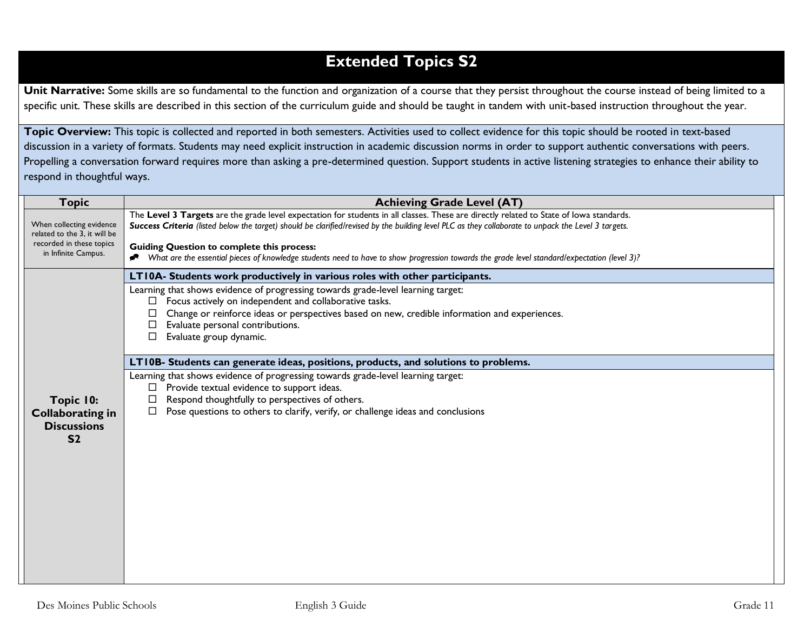## **Extended Topics S2**

Unit Narrative: Some skills are so fundamental to the function and organization of a course that they persist throughout the course instead of being limited to a specific unit. These skills are described in this section of the curriculum guide and should be taught in tandem with unit-based instruction throughout the year.

**Topic Overview:** This topic is collected and reported in both semesters. Activities used to collect evidence for this topic should be rooted in text-based discussion in a variety of formats. Students may need explicit instruction in academic discussion norms in order to support authentic conversations with peers. Propelling a conversation forward requires more than asking a pre-determined question. Support students in active listening strategies to enhance their ability to respond in thoughtful ways.

| <b>Topic</b>                                                                                                | <b>Achieving Grade Level (AT)</b>                                                                                                                                                                                                                                                                                                                   |
|-------------------------------------------------------------------------------------------------------------|-----------------------------------------------------------------------------------------------------------------------------------------------------------------------------------------------------------------------------------------------------------------------------------------------------------------------------------------------------|
| When collecting evidence<br>related to the 3, it will be<br>recorded in these topics<br>in Infinite Campus. | The Level 3 Targets are the grade level expectation for students in all classes. These are directly related to State of lowa standards.<br>Success Criteria (listed below the target) should be clarified/revised by the building level PLC as they collaborate to unpack the Level 3 targets.<br><b>Guiding Question to complete this process:</b> |
|                                                                                                             | What are the essential pieces of knowledge students need to have to show progression towards the grade level standard/expectation (level 3)?                                                                                                                                                                                                        |
|                                                                                                             | LT10A- Students work productively in various roles with other participants.                                                                                                                                                                                                                                                                         |
|                                                                                                             | Learning that shows evidence of progressing towards grade-level learning target:                                                                                                                                                                                                                                                                    |
|                                                                                                             | Focus actively on independent and collaborative tasks.<br>$\Box$                                                                                                                                                                                                                                                                                    |
|                                                                                                             | Change or reinforce ideas or perspectives based on new, credible information and experiences.<br>Evaluate personal contributions.                                                                                                                                                                                                                   |
|                                                                                                             | Evaluate group dynamic.<br>□                                                                                                                                                                                                                                                                                                                        |
|                                                                                                             |                                                                                                                                                                                                                                                                                                                                                     |
|                                                                                                             | LT10B- Students can generate ideas, positions, products, and solutions to problems.                                                                                                                                                                                                                                                                 |
|                                                                                                             | Learning that shows evidence of progressing towards grade-level learning target:                                                                                                                                                                                                                                                                    |
|                                                                                                             | Provide textual evidence to support ideas.<br>ப                                                                                                                                                                                                                                                                                                     |
| Topic 10:                                                                                                   | Respond thoughtfully to perspectives of others.<br>□<br>Pose questions to others to clarify, verify, or challenge ideas and conclusions<br>□                                                                                                                                                                                                        |
| <b>Collaborating in</b><br><b>Discussions</b>                                                               |                                                                                                                                                                                                                                                                                                                                                     |
| S <sub>2</sub>                                                                                              |                                                                                                                                                                                                                                                                                                                                                     |
|                                                                                                             |                                                                                                                                                                                                                                                                                                                                                     |
|                                                                                                             |                                                                                                                                                                                                                                                                                                                                                     |
|                                                                                                             |                                                                                                                                                                                                                                                                                                                                                     |
|                                                                                                             |                                                                                                                                                                                                                                                                                                                                                     |
|                                                                                                             |                                                                                                                                                                                                                                                                                                                                                     |
|                                                                                                             |                                                                                                                                                                                                                                                                                                                                                     |
|                                                                                                             |                                                                                                                                                                                                                                                                                                                                                     |
|                                                                                                             |                                                                                                                                                                                                                                                                                                                                                     |
|                                                                                                             |                                                                                                                                                                                                                                                                                                                                                     |
|                                                                                                             |                                                                                                                                                                                                                                                                                                                                                     |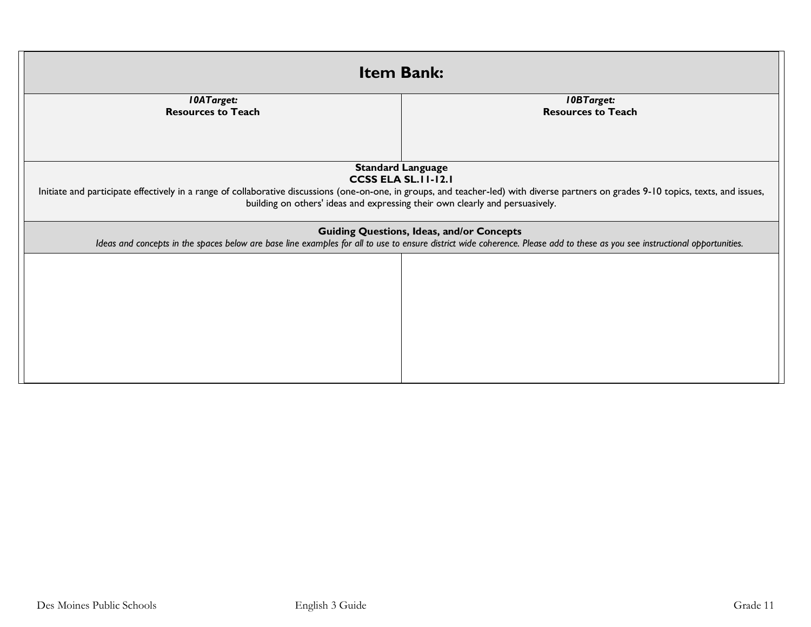| <b>Item Bank:</b>                                                                                                                                                                                                                                                                                                                |                                                |  |
|----------------------------------------------------------------------------------------------------------------------------------------------------------------------------------------------------------------------------------------------------------------------------------------------------------------------------------|------------------------------------------------|--|
| <b>10ATarget:</b><br><b>Resources to Teach</b>                                                                                                                                                                                                                                                                                   | <b>IOBTarget:</b><br><b>Resources to Teach</b> |  |
| <b>Standard Language</b><br><b>CCSS ELA SL. II-12.1</b><br>Initiate and participate effectively in a range of collaborative discussions (one-on-one, in groups, and teacher-led) with diverse partners on grades 9-10 topics, texts, and issues,<br>building on others' ideas and expressing their own clearly and persuasively. |                                                |  |
| <b>Guiding Questions, Ideas, and/or Concepts</b><br>Ideas and concepts in the spaces below are base line examples for all to use to ensure district wide coherence. Please add to these as you see instructional opportunities.                                                                                                  |                                                |  |
|                                                                                                                                                                                                                                                                                                                                  |                                                |  |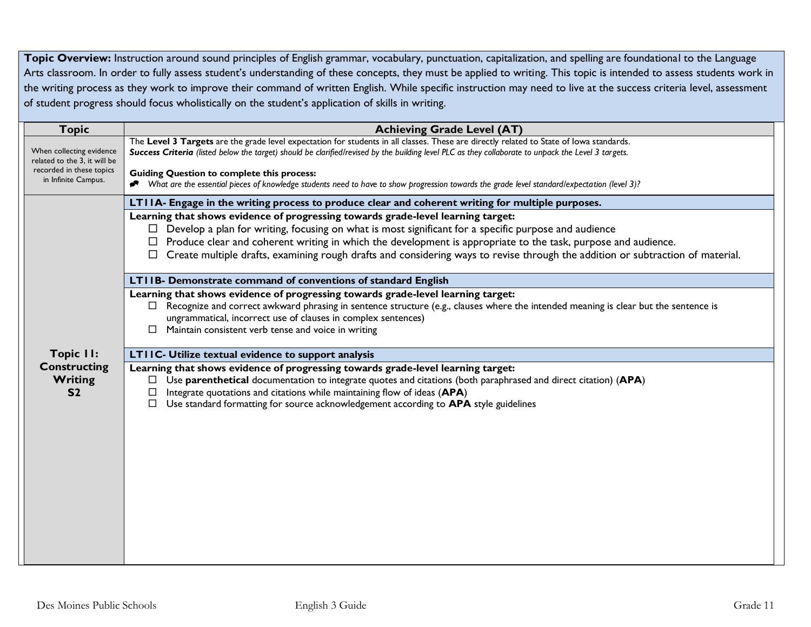Topic Overview: Instruction around sound principles of English grammar, vocabulary, punctuation, capitalization, and spelling are foundational to the Language Arts classroom. In order to fully assess student's understanding of these concepts, they must be applied to writing. This topic is intended to assess students work in the writing process as they work to improve their command of written English. While specific instruction may need to live at the success criteria level, assessment of student progress should focus wholistically on the student's application of skills in writing.

| <b>Topic</b>                                                                                                | <b>Achieving Grade Level (AT)</b>                                                                                                                                              |
|-------------------------------------------------------------------------------------------------------------|--------------------------------------------------------------------------------------------------------------------------------------------------------------------------------|
| When collecting evidence<br>related to the 3, it will be<br>recorded in these topics<br>in Infinite Campus. | The Level 3 Targets are the grade level expectation for students in all classes. These are directly related to State of lowa standards.                                        |
|                                                                                                             | Success Criteria (listed below the target) should be clarified/revised by the building level PLC as they collaborate to unpack the Level 3 targets.                            |
|                                                                                                             | <b>Guiding Question to complete this process:</b>                                                                                                                              |
|                                                                                                             | Nhat are the essential pieces of knowledge students need to have to show progression towards the grade level standard/expectation (level 3)?                                   |
|                                                                                                             | LTIIA- Engage in the writing process to produce clear and coherent writing for multiple purposes.                                                                              |
|                                                                                                             | Learning that shows evidence of progressing towards grade-level learning target:                                                                                               |
|                                                                                                             | $\Box$ Develop a plan for writing, focusing on what is most significant for a specific purpose and audience                                                                    |
|                                                                                                             | $\Box$ Produce clear and coherent writing in which the development is appropriate to the task, purpose and audience.                                                           |
|                                                                                                             | Create multiple drafts, examining rough drafts and considering ways to revise through the addition or subtraction of material.                                                 |
|                                                                                                             | LTIIB- Demonstrate command of conventions of standard English                                                                                                                  |
|                                                                                                             | Learning that shows evidence of progressing towards grade-level learning target:                                                                                               |
|                                                                                                             | $\Box$ Recognize and correct awkward phrasing in sentence structure (e.g., clauses where the intended meaning is clear but the sentence is                                     |
| Topic II:<br><b>Constructing</b>                                                                            | ungrammatical, incorrect use of clauses in complex sentences)                                                                                                                  |
|                                                                                                             | Maintain consistent verb tense and voice in writing<br>$\Box$                                                                                                                  |
|                                                                                                             | LTIIC- Utilize textual evidence to support analysis                                                                                                                            |
|                                                                                                             | Learning that shows evidence of progressing towards grade-level learning target:                                                                                               |
| Writing                                                                                                     | Use parenthetical documentation to integrate quotes and citations (both paraphrased and direct citation) (APA)                                                                 |
| S <sub>2</sub>                                                                                              | Integrate quotations and citations while maintaining flow of ideas (APA)<br>$\Box$ Use standard formatting for source acknowledgement according to <b>APA</b> style guidelines |
|                                                                                                             |                                                                                                                                                                                |
|                                                                                                             |                                                                                                                                                                                |
|                                                                                                             |                                                                                                                                                                                |
|                                                                                                             |                                                                                                                                                                                |
|                                                                                                             |                                                                                                                                                                                |
|                                                                                                             |                                                                                                                                                                                |
|                                                                                                             |                                                                                                                                                                                |
|                                                                                                             |                                                                                                                                                                                |
|                                                                                                             |                                                                                                                                                                                |
|                                                                                                             |                                                                                                                                                                                |
|                                                                                                             |                                                                                                                                                                                |